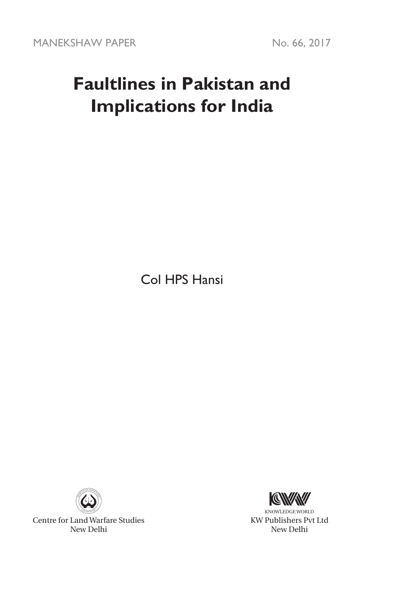# **Faultlines in Pakistan and Implications for India**

Col HPS Hansi



Centre for Land Warfare Studies New Delhi



KNOWLEDGE WORLD KW Publishers Pvt Ltd New Delhi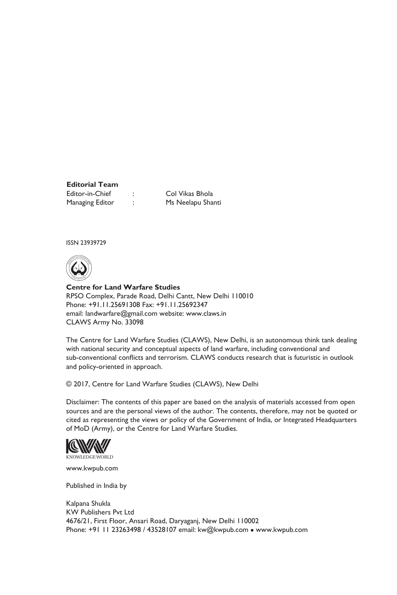#### **Editorial Team** Editor-in-Chief : Col Vikas Bhola

Managing Editor : Ms Neelapu Shanti

ISSN 23939729



**Centre for Land Warfare Studies**  RPSO Complex, Parade Road, Delhi Cantt, New Delhi 110010 Phone: +91.11.25691308 Fax: +91.11.25692347 email: landwarfare@gmail.com website: www.claws.in CLAWS Army No. 33098

The Centre for Land Warfare Studies (CLAWS), New Delhi, is an autonomous think tank dealing with national security and conceptual aspects of land warfare, including conventional and sub-conventional conflicts and terrorism. CLAWS conducts research that is futuristic in outlook and policy-oriented in approach.

© 2017, Centre for Land Warfare Studies (CLAWS), New Delhi

Disclaimer: The contents of this paper are based on the analysis of materials accessed from open sources and are the personal views of the author. The contents, therefore, may not be quoted or cited as representing the views or policy of the Government of India, or Integrated Headquarters of MoD (Army), or the Centre for Land Warfare Studies.



www.kwpub.com

Published in India by

Kalpana Shukla KW Publishers Pvt Ltd 4676/21, First Floor, Ansari Road, Daryaganj, New Delhi 110002 Phone: +91 11 23263498 / 43528107 email: kw@kwpub.com · www.kwpub.com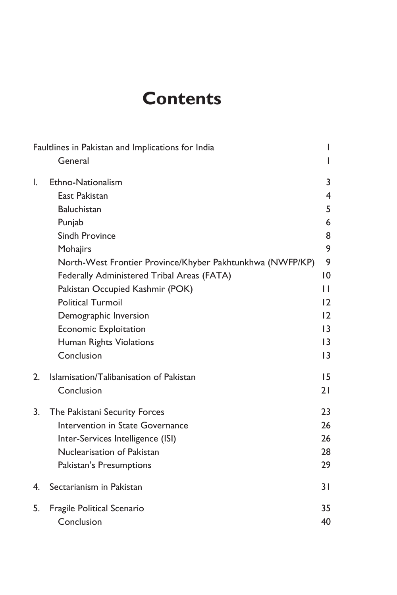# **Contents**

| Faultlines in Pakistan and Implications for India |                                                           |                 |
|---------------------------------------------------|-----------------------------------------------------------|-----------------|
|                                                   | General                                                   | L               |
| I.                                                | Ethno-Nationalism                                         | 3               |
|                                                   | East Pakistan                                             | 4               |
|                                                   | <b>Baluchistan</b>                                        | 5               |
|                                                   | Punjab                                                    | 6               |
|                                                   | Sindh Province                                            | 8               |
|                                                   | Mohajirs                                                  | 9               |
|                                                   | North-West Frontier Province/Khyber Pakhtunkhwa (NWFP/KP) | 9               |
|                                                   | Federally Administered Tribal Areas (FATA)                | 10              |
|                                                   | Pakistan Occupied Kashmir (POK)                           | П               |
|                                                   | <b>Political Turmoil</b>                                  | 12              |
|                                                   | Demographic Inversion                                     | 12              |
|                                                   | Economic Exploitation                                     | $\overline{13}$ |
|                                                   | Human Rights Violations                                   | 13              |
|                                                   | Conclusion                                                | $\overline{13}$ |
| 2.                                                | Islamisation/Talibanisation of Pakistan                   | 15              |
|                                                   | Conclusion                                                | 21              |
| 3.                                                | The Pakistani Security Forces                             | 23              |
|                                                   | Intervention in State Governance                          | 26              |
|                                                   | Inter-Services Intelligence (ISI)                         | 26              |
|                                                   | Nuclearisation of Pakistan                                | 28              |
|                                                   | Pakistan's Presumptions                                   | 29              |
| 4.                                                | Sectarianism in Pakistan                                  | 3 I             |
| 5.                                                | Fragile Political Scenario                                | 35              |
|                                                   | Conclusion                                                | 40              |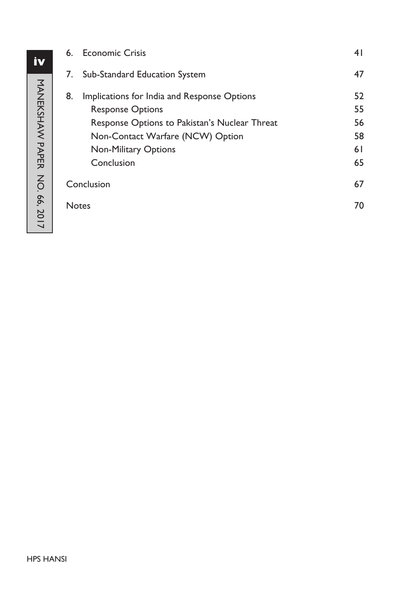| 6.    | <b>Economic Crisis</b>                        | 41 |
|-------|-----------------------------------------------|----|
| 7.    | Sub-Standard Education System                 | 47 |
| 8.    | Implications for India and Response Options   | 52 |
|       | <b>Response Options</b>                       | 55 |
|       | Response Options to Pakistan's Nuclear Threat | 56 |
|       | Non-Contact Warfare (NCW) Option              | 58 |
|       | <b>Non-Military Options</b>                   | 61 |
|       | Conclusion                                    | 65 |
|       | Conclusion                                    |    |
| Notes |                                               | 70 |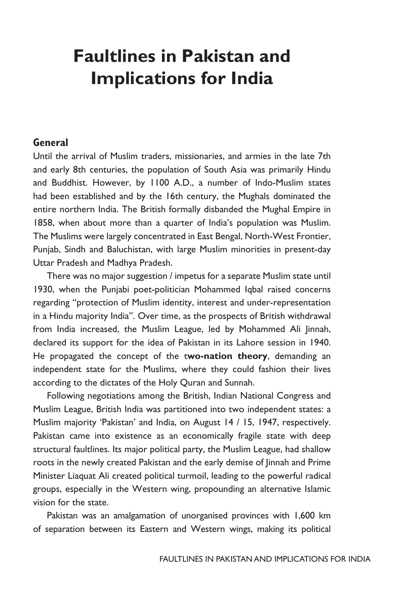# **Faultlines in Pakistan and Implications for India**

#### **General**

Until the arrival of Muslim traders, missionaries, and armies in the late 7th and early 8th centuries, the population of South Asia was primarily Hindu and Buddhist. However, by 1100 A.D., a number of Indo-Muslim states had been established and by the 16th century, the Mughals dominated the entire northern India. The British formally disbanded the Mughal Empire in 1858, when about more than a quarter of India's population was Muslim. The Muslims were largely concentrated in East Bengal, North-West Frontier, Punjab, Sindh and Baluchistan, with large Muslim minorities in present-day Uttar Pradesh and Madhya Pradesh.

There was no major suggestion / impetus for a separate Muslim state until 1930, when the Punjabi poet-politician Mohammed Iqbal raised concerns regarding "protection of Muslim identity, interest and under-representation in a Hindu majority India". Over time, as the prospects of British withdrawal from India increased, the Muslim League, led by Mohammed Ali Jinnah, declared its support for the idea of Pakistan in its Lahore session in 1940. He propagated the concept of the t**wo-nation theory**, demanding an independent state for the Muslims, where they could fashion their lives according to the dictates of the Holy Quran and Sunnah.

Following negotiations among the British, Indian National Congress and Muslim League, British India was partitioned into two independent states: a Muslim majority 'Pakistan' and India, on August 14 / 15, 1947, respectively. Pakistan came into existence as an economically fragile state with deep structural faultlines. Its major political party, the Muslim League, had shallow roots in the newly created Pakistan and the early demise of Jinnah and Prime Minister Liaquat Ali created political turmoil, leading to the powerful radical groups, especially in the Western wing, propounding an alternative Islamic vision for the state.

Pakistan was an amalgamation of unorganised provinces with 1,600 km of separation between its Eastern and Western wings, making its political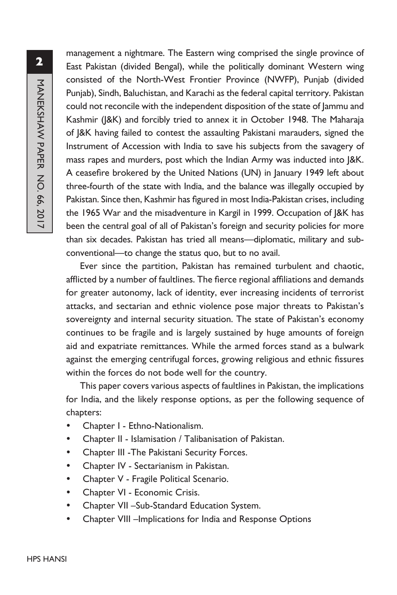management a nightmare. The Eastern wing comprised the single province of East Pakistan (divided Bengal), while the politically dominant Western wing consisted of the North-West Frontier Province (NWFP), Punjab (divided Punjab), Sindh, Baluchistan, and Karachi as the federal capital territory. Pakistan could not reconcile with the independent disposition of the state of Jammu and Kashmir (J&K) and forcibly tried to annex it in October 1948. The Maharaja of J&K having failed to contest the assaulting Pakistani marauders, signed the Instrument of Accession with India to save his subjects from the savagery of mass rapes and murders, post which the Indian Army was inducted into J&K. A ceasefire brokered by the United Nations (UN) in January 1949 left about three-fourth of the state with India, and the balance was illegally occupied by Pakistan. Since then, Kashmir has figured in most India-Pakistan crises, including the 1965 War and the misadventure in Kargil in 1999. Occupation of J&K has been the central goal of all of Pakistan's foreign and security policies for more than six decades. Pakistan has tried all means—diplomatic, military and subconventional—to change the status quo, but to no avail.

Ever since the partition, Pakistan has remained turbulent and chaotic, afflicted by a number of faultlines. The fierce regional affiliations and demands for greater autonomy, lack of identity, ever increasing incidents of terrorist attacks, and sectarian and ethnic violence pose major threats to Pakistan's sovereignty and internal security situation. The state of Pakistan's economy continues to be fragile and is largely sustained by huge amounts of foreign aid and expatriate remittances. While the armed forces stand as a bulwark against the emerging centrifugal forces, growing religious and ethnic fissures within the forces do not bode well for the country.

This paper covers various aspects of faultlines in Pakistan, the implications for India, and the likely response options, as per the following sequence of chapters:

- y Chapter I Ethno-Nationalism.
- y Chapter II Islamisation / Talibanisation of Pakistan.
- y Chapter III -The Pakistani Security Forces.
- Chapter IV Sectarianism in Pakistan.
- Chapter V Fragile Political Scenario.
- Chapter VI Economic Crisis.
- Chapter VII –Sub-Standard Education System.
- Chapter VIII –Implications for India and Response Options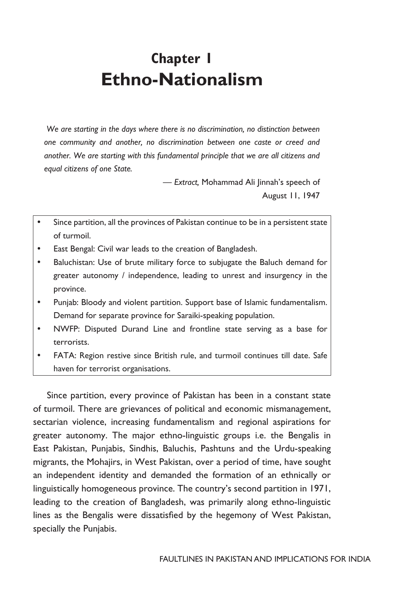## **Chapter 1 Ethno-Nationalism**

 *We are starting in the days where there is no discrimination, no distinction between one community and another, no discrimination between one caste or creed and another. We are starting with this fundamental principle that we are all citizens and equal citizens of one State.*

> *— Extract,* Mohammad Ali Jinnah's speech of August 11, 1947

- Since partition, all the provinces of Pakistan continue to be in a persistent state of turmoil.
- East Bengal: Civil war leads to the creation of Bangladesh.
- Baluchistan: Use of brute military force to subjugate the Baluch demand for greater autonomy / independence, leading to unrest and insurgency in the province.
- Punjab: Bloody and violent partition. Support base of Islamic fundamentalism. Demand for separate province for Saraiki-speaking population.
- NWFP: Disputed Durand Line and frontline state serving as a base for terrorists.
- FATA: Region restive since British rule, and turmoil continues till date. Safe haven for terrorist organisations.

Since partition, every province of Pakistan has been in a constant state of turmoil. There are grievances of political and economic mismanagement, sectarian violence, increasing fundamentalism and regional aspirations for greater autonomy. The major ethno-linguistic groups i.e. the Bengalis in East Pakistan, Punjabis, Sindhis, Baluchis, Pashtuns and the Urdu-speaking migrants, the Mohajirs, in West Pakistan, over a period of time, have sought an independent identity and demanded the formation of an ethnically or linguistically homogeneous province. The country's second partition in 1971, leading to the creation of Bangladesh, was primarily along ethno-linguistic lines as the Bengalis were dissatisfied by the hegemony of West Pakistan, specially the Punjabis.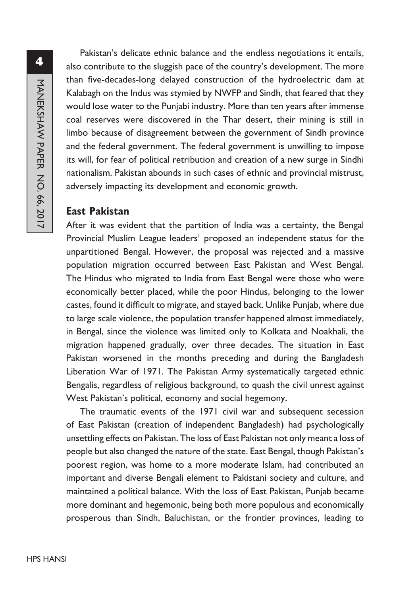Pakistan's delicate ethnic balance and the endless negotiations it entails, also contribute to the sluggish pace of the country's development. The more than five-decades-long delayed construction of the hydroelectric dam at Kalabagh on the Indus was stymied by NWFP and Sindh, that feared that they would lose water to the Punjabi industry. More than ten years after immense coal reserves were discovered in the Thar desert, their mining is still in limbo because of disagreement between the government of Sindh province and the federal government. The federal government is unwilling to impose its will, for fear of political retribution and creation of a new surge in Sindhi nationalism. Pakistan abounds in such cases of ethnic and provincial mistrust, adversely impacting its development and economic growth.

#### **East Pakistan**

After it was evident that the partition of India was a certainty, the Bengal Provincial Muslim League leaders<sup>1</sup> proposed an independent status for the unpartitioned Bengal. However, the proposal was rejected and a massive population migration occurred between East Pakistan and West Bengal. The Hindus who migrated to India from East Bengal were those who were economically better placed, while the poor Hindus, belonging to the lower castes, found it difficult to migrate, and stayed back. Unlike Punjab, where due to large scale violence, the population transfer happened almost immediately, in Bengal, since the violence was limited only to Kolkata and Noakhali, the migration happened gradually, over three decades. The situation in East Pakistan worsened in the months preceding and during the Bangladesh Liberation War of 1971. The Pakistan Army systematically targeted ethnic Bengalis, regardless of religious background, to quash the civil unrest against West Pakistan's political, economy and social hegemony.

The traumatic events of the 1971 civil war and subsequent secession of East Pakistan (creation of independent Bangladesh) had psychologically unsettling effects on Pakistan. The loss of East Pakistan not only meant a loss of people but also changed the nature of the state. East Bengal, though Pakistan's poorest region, was home to a more moderate Islam, had contributed an important and diverse Bengali element to Pakistani society and culture, and maintained a political balance. With the loss of East Pakistan, Punjab became more dominant and hegemonic, being both more populous and economically prosperous than Sindh, Baluchistan, or the frontier provinces, leading to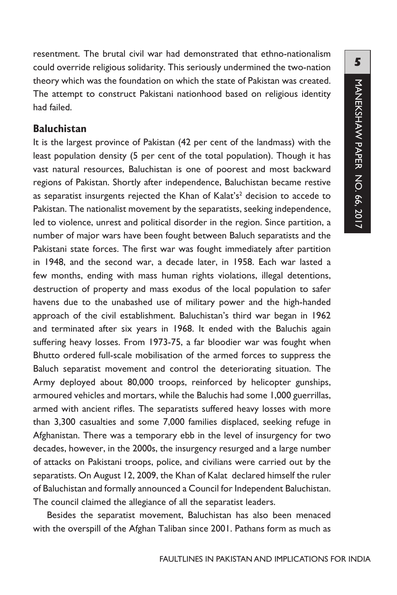resentment. The brutal civil war had demonstrated that ethno-nationalism could override religious solidarity. This seriously undermined the two-nation theory which was the foundation on which the state of Pakistan was created. The attempt to construct Pakistani nationhood based on religious identity had failed.

#### **Baluchistan**

It is the largest province of Pakistan (42 per cent of the landmass) with the least population density (5 per cent of the total population). Though it has vast natural resources, Baluchistan is one of poorest and most backward regions of Pakistan. Shortly after independence, Baluchistan became restive as separatist insurgents rejected the Khan of Kalat's $2$  decision to accede to Pakistan. The nationalist movement by the separatists, seeking independence, led to violence, unrest and political disorder in the region. Since partition, a number of major wars have been fought between Baluch separatists and the Pakistani state forces. The first war was fought immediately after partition in 1948, and the second war, a decade later, in 1958. Each war lasted a few months, ending with mass human rights violations, illegal detentions, destruction of property and mass exodus of the local population to safer havens due to the unabashed use of military power and the high-handed approach of the civil establishment. Baluchistan's third war began in 1962 and terminated after six years in 1968. It ended with the Baluchis again suffering heavy losses. From 1973-75, a far bloodier war was fought when Bhutto ordered full-scale mobilisation of the armed forces to suppress the Baluch separatist movement and control the deteriorating situation. The Army deployed about 80,000 troops, reinforced by helicopter gunships, armoured vehicles and mortars, while the Baluchis had some 1,000 guerrillas, armed with ancient rifles. The separatists suffered heavy losses with more than 3,300 casualties and some 7,000 families displaced, seeking refuge in Afghanistan. There was a temporary ebb in the level of insurgency for two decades, however, in the 2000s, the insurgency resurged and a large number of attacks on Pakistani troops, police, and civilians were carried out by the separatists. On August 12, 2009, the Khan of Kalat declared himself the ruler of Baluchistan and formally announced a Council for Independent Baluchistan. The council claimed the allegiance of all the separatist leaders.

Besides the separatist movement, Baluchistan has also been menaced with the overspill of the Afghan Taliban since 2001. Pathans form as much as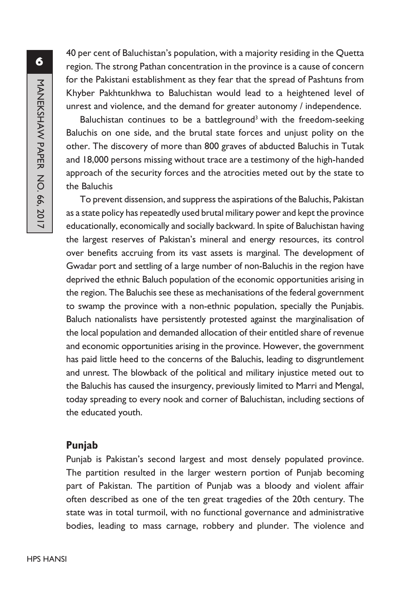40 per cent of Baluchistan's population, with a majority residing in the Quetta region. The strong Pathan concentration in the province is a cause of concern for the Pakistani establishment as they fear that the spread of Pashtuns from Khyber Pakhtunkhwa to Baluchistan would lead to a heightened level of unrest and violence, and the demand for greater autonomy / independence.

Baluchistan continues to be a battleground<sup>3</sup> with the freedom-seeking Baluchis on one side, and the brutal state forces and unjust polity on the other. The discovery of more than 800 graves of abducted Baluchis in Tutak and 18,000 persons missing without trace are a testimony of the high-handed approach of the security forces and the atrocities meted out by the state to the Baluchis

To prevent dissension, and suppress the aspirations of the Baluchis, Pakistan as a state policy has repeatedly used brutal military power and kept the province educationally, economically and socially backward. In spite of Baluchistan having the largest reserves of Pakistan's mineral and energy resources, its control over benefits accruing from its vast assets is marginal. The development of Gwadar port and settling of a large number of non-Baluchis in the region have deprived the ethnic Baluch population of the economic opportunities arising in the region. The Baluchis see these as mechanisations of the federal government to swamp the province with a non-ethnic population, specially the Punjabis. Baluch nationalists have persistently protested against the marginalisation of the local population and demanded allocation of their entitled share of revenue and economic opportunities arising in the province. However, the government has paid little heed to the concerns of the Baluchis, leading to disgruntlement and unrest. The blowback of the political and military injustice meted out to the Baluchis has caused the insurgency, previously limited to Marri and Mengal, today spreading to every nook and corner of Baluchistan, including sections of the educated youth.

#### **Punjab**

Punjab is Pakistan's second largest and most densely populated province. The partition resulted in the larger western portion of Punjab becoming part of Pakistan. The partition of Punjab was a bloody and violent affair often described as one of the ten great tragedies of the 20th century. The state was in total turmoil, with no functional governance and administrative bodies, leading to mass carnage, robbery and plunder. The violence and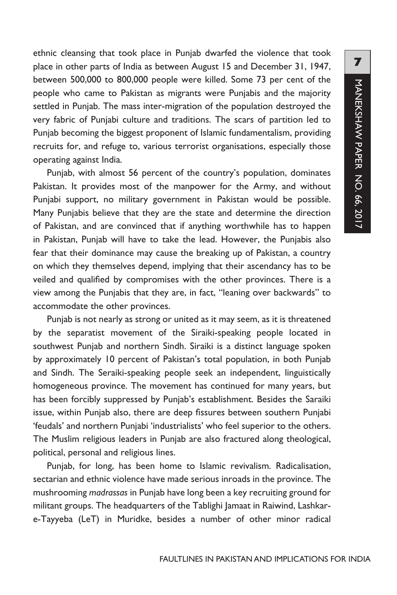ethnic cleansing that took place in Punjab dwarfed the violence that took place in other parts of India as between August 15 and December 31, 1947, between 500,000 to 800,000 people were killed. Some 73 per cent of the people who came to Pakistan as migrants were Punjabis and the majority settled in Punjab. The mass inter-migration of the population destroyed the very fabric of Punjabi culture and traditions. The scars of partition led to Punjab becoming the biggest proponent of Islamic fundamentalism, providing recruits for, and refuge to, various terrorist organisations, especially those operating against India.

Punjab, with almost 56 percent of the country's population, dominates Pakistan. It provides most of the manpower for the Army, and without Punjabi support, no military government in Pakistan would be possible. Many Punjabis believe that they are the state and determine the direction of Pakistan, and are convinced that if anything worthwhile has to happen in Pakistan, Punjab will have to take the lead. However, the Punjabis also fear that their dominance may cause the breaking up of Pakistan, a country on which they themselves depend, implying that their ascendancy has to be veiled and qualified by compromises with the other provinces. There is a view among the Punjabis that they are, in fact, "leaning over backwards" to accommodate the other provinces.

Punjab is not nearly as strong or united as it may seem, as it is threatened by the separatist movement of the Siraiki-speaking people located in southwest Punjab and northern Sindh. Siraiki is a distinct language spoken by approximately 10 percent of Pakistan's total population, in both Punjab and Sindh. The Seraiki-speaking people seek an independent, linguistically homogeneous province. The movement has continued for many years, but has been forcibly suppressed by Punjab's establishment. Besides the Saraiki issue, within Punjab also, there are deep fissures between southern Punjabi 'feudals' and northern Punjabi 'industrialists' who feel superior to the others. The Muslim religious leaders in Punjab are also fractured along theological, political, personal and religious lines.

Punjab, for long, has been home to Islamic revivalism. Radicalisation, sectarian and ethnic violence have made serious inroads in the province. The mushrooming *madrassas* in Punjab have long been a key recruiting ground for militant groups. The headquarters of the Tablighi Jamaat in Raiwind, Lashkare-Tayyeba (LeT) in Muridke, besides a number of other minor radical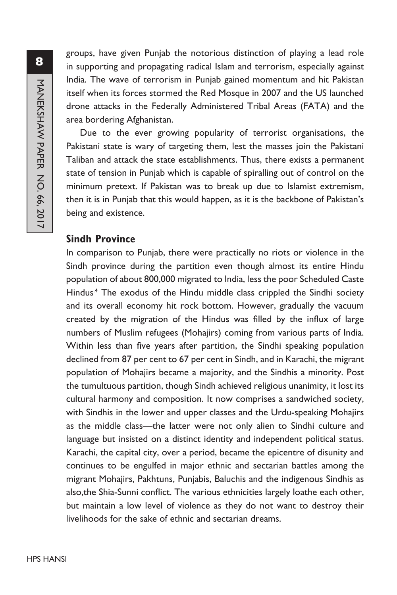groups, have given Punjab the notorious distinction of playing a lead role in supporting and propagating radical Islam and terrorism, especially against India. The wave of terrorism in Punjab gained momentum and hit Pakistan itself when its forces stormed the Red Mosque in 2007 and the US launched drone attacks in the Federally Administered Tribal Areas (FATA) and the area bordering Afghanistan.

Due to the ever growing popularity of terrorist organisations, the Pakistani state is wary of targeting them, lest the masses join the Pakistani Taliban and attack the state establishments. Thus, there exists a permanent state of tension in Punjab which is capable of spiralling out of control on the minimum pretext. If Pakistan was to break up due to Islamist extremism, then it is in Punjab that this would happen, as it is the backbone of Pakistan's being and existence.

#### **Sindh Province**

In comparison to Punjab, there were practically no riots or violence in the Sindh province during the partition even though almost its entire Hindu population of about 800,000 migrated to India, less the poor Scheduled Caste Hindus<sup>4</sup> The exodus of the Hindu middle class crippled the Sindhi society and its overall economy hit rock bottom. However, gradually the vacuum created by the migration of the Hindus was filled by the influx of large numbers of Muslim refugees (Mohajirs) coming from various parts of India. Within less than five years after partition, the Sindhi speaking population declined from 87 per cent to 67 per cent in Sindh, and in Karachi, the migrant population of Mohajirs became a majority, and the Sindhis a minority. Post the tumultuous partition, though Sindh achieved religious unanimity, it lost its cultural harmony and composition. It now comprises a sandwiched society, with Sindhis in the lower and upper classes and the Urdu-speaking Mohajirs as the middle class—the latter were not only alien to Sindhi culture and language but insisted on a distinct identity and independent political status. Karachi, the capital city, over a period, became the epicentre of disunity and continues to be engulfed in major ethnic and sectarian battles among the migrant Mohajirs, Pakhtuns, Punjabis, Baluchis and the indigenous Sindhis as also,the Shia-Sunni conflict. The various ethnicities largely loathe each other, but maintain a low level of violence as they do not want to destroy their livelihoods for the sake of ethnic and sectarian dreams.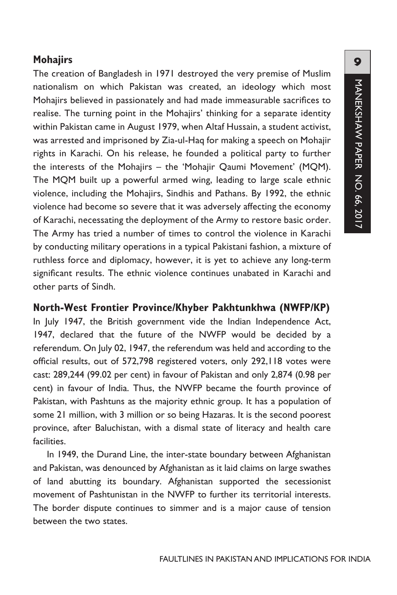## **Mohajirs**

The creation of Bangladesh in 1971 destroyed the very premise of Muslim nationalism on which Pakistan was created, an ideology which most Mohajirs believed in passionately and had made immeasurable sacrifices to realise. The turning point in the Mohajirs' thinking for a separate identity within Pakistan came in August 1979, when Altaf Hussain, a student activist, was arrested and imprisoned by Zia-ul-Haq for making a speech on Mohajir rights in Karachi. On his release, he founded a political party to further the interests of the Mohajirs – the 'Mohajir Qaumi Movement' (MQM). The MQM built up a powerful armed wing, leading to large scale ethnic violence, including the Mohajirs, Sindhis and Pathans. By 1992, the ethnic violence had become so severe that it was adversely affecting the economy of Karachi, necessating the deployment of the Army to restore basic order. The Army has tried a number of times to control the violence in Karachi by conducting military operations in a typical Pakistani fashion, a mixture of ruthless force and diplomacy, however, it is yet to achieve any long-term significant results. The ethnic violence continues unabated in Karachi and other parts of Sindh.

## **North-West Frontier Province/Khyber Pakhtunkhwa (NWFP/KP)**

In July 1947, the British government vide the Indian Independence Act, 1947, declared that the future of the NWFP would be decided by a referendum. On July 02, 1947, the referendum was held and according to the official results, out of 572,798 registered voters, only 292,118 votes were cast: 289,244 (99.02 per cent) in favour of Pakistan and only 2,874 (0.98 per cent) in favour of India. Thus, the NWFP became the fourth province of Pakistan, with Pashtuns as the majority ethnic group. It has a population of some 21 million, with 3 million or so being Hazaras. It is the second poorest province, after Baluchistan, with a dismal state of literacy and health care **facilities** 

In 1949, the Durand Line, the inter-state boundary between Afghanistan and Pakistan, was denounced by Afghanistan as it laid claims on large swathes of land abutting its boundary. Afghanistan supported the secessionist movement of Pashtunistan in the NWFP to further its territorial interests. The border dispute continues to simmer and is a major cause of tension between the two states.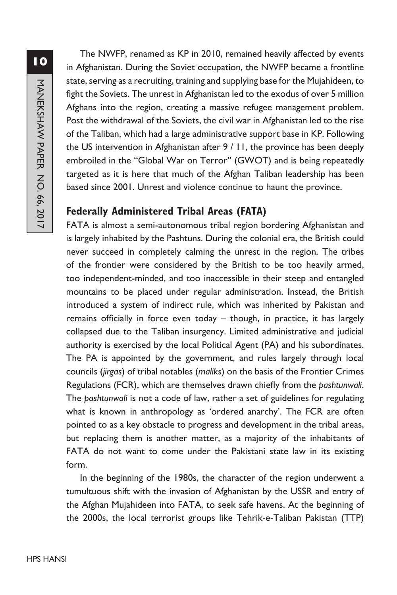The NWFP, renamed as KP in 2010, remained heavily affected by events in Afghanistan. During the Soviet occupation, the NWFP became a frontline state, serving as a recruiting, training and supplying base for the Mujahideen, to fight the Soviets. The unrest in Afghanistan led to the exodus of over 5 million Afghans into the region, creating a massive refugee management problem. Post the withdrawal of the Soviets, the civil war in Afghanistan led to the rise of the Taliban, which had a large administrative support base in KP. Following the US intervention in Afghanistan after 9 / 11, the province has been deeply embroiled in the "Global War on Terror" (GWOT) and is being repeatedly targeted as it is here that much of the Afghan Taliban leadership has been based since 2001. Unrest and violence continue to haunt the province.

## **Federally Administered Tribal Areas (FATA)**

FATA is almost a semi-autonomous tribal region bordering Afghanistan and is largely inhabited by the Pashtuns. During the colonial era, the British could never succeed in completely calming the unrest in the region. The tribes of the frontier were considered by the British to be too heavily armed, too independent-minded, and too inaccessible in their steep and entangled mountains to be placed under regular administration. Instead, the British introduced a system of indirect rule, which was inherited by Pakistan and remains officially in force even today – though, in practice, it has largely collapsed due to the Taliban insurgency. Limited administrative and judicial authority is exercised by the local Political Agent (PA) and his subordinates. The PA is appointed by the government, and rules largely through local councils (*jirgas*) of tribal notables (*maliks*) on the basis of the Frontier Crimes Regulations (FCR), which are themselves drawn chiefly from the *pashtunwali*. The *pashtunwali* is not a code of law, rather a set of guidelines for regulating what is known in anthropology as 'ordered anarchy'. The FCR are often pointed to as a key obstacle to progress and development in the tribal areas, but replacing them is another matter, as a majority of the inhabitants of FATA do not want to come under the Pakistani state law in its existing form.

In the beginning of the 1980s, the character of the region underwent a tumultuous shift with the invasion of Afghanistan by the USSR and entry of the Afghan Mujahideen into FATA, to seek safe havens. At the beginning of the 2000s, the local terrorist groups like Tehrik-e-Taliban Pakistan (TTP)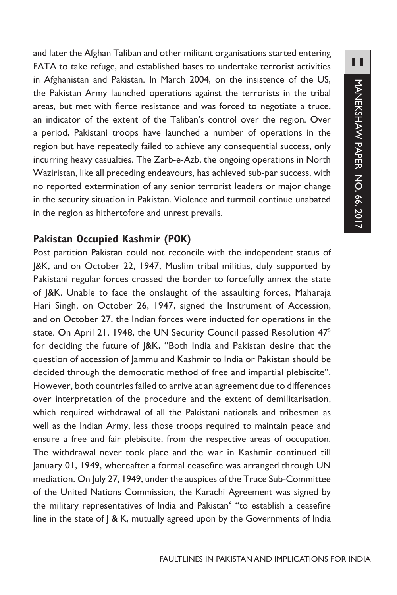and later the Afghan Taliban and other militant organisations started entering FATA to take refuge, and established bases to undertake terrorist activities in Afghanistan and Pakistan. In March 2004, on the insistence of the US, the Pakistan Army launched operations against the terrorists in the tribal areas, but met with fierce resistance and was forced to negotiate a truce, an indicator of the extent of the Taliban's control over the region. Over a period, Pakistani troops have launched a number of operations in the region but have repeatedly failed to achieve any consequential success, only incurring heavy casualties. The Zarb-e-Azb, the ongoing operations in North Waziristan, like all preceding endeavours, has achieved sub-par success, with no reported extermination of any senior terrorist leaders or major change in the security situation in Pakistan. Violence and turmoil continue unabated in the region as hithertofore and unrest prevails.

## **Pakistan Occupied Kashmir (POK)**

Post partition Pakistan could not reconcile with the independent status of J&K, and on October 22, 1947, Muslim tribal militias, duly supported by Pakistani regular forces crossed the border to forcefully annex the state of J&K. Unable to face the onslaught of the assaulting forces, Maharaja Hari Singh, on October 26, 1947, signed the Instrument of Accession, and on October 27, the Indian forces were inducted for operations in the state. On April 21, 1948, the UN Security Council passed Resolution 475 for deciding the future of J&K, "Both India and Pakistan desire that the question of accession of Jammu and Kashmir to India or Pakistan should be decided through the democratic method of free and impartial plebiscite". However, both countries failed to arrive at an agreement due to differences over interpretation of the procedure and the extent of demilitarisation, which required withdrawal of all the Pakistani nationals and tribesmen as well as the Indian Army, less those troops required to maintain peace and ensure a free and fair plebiscite, from the respective areas of occupation. The withdrawal never took place and the war in Kashmir continued till January 01, 1949, whereafter a formal ceasefire was arranged through UN mediation. On July 27, 1949, under the auspices of the Truce Sub-Committee of the United Nations Commission, the Karachi Agreement was signed by the military representatives of India and Pakistan<sup>6</sup> "to establish a ceasefire line in the state of J & K, mutually agreed upon by the Governments of India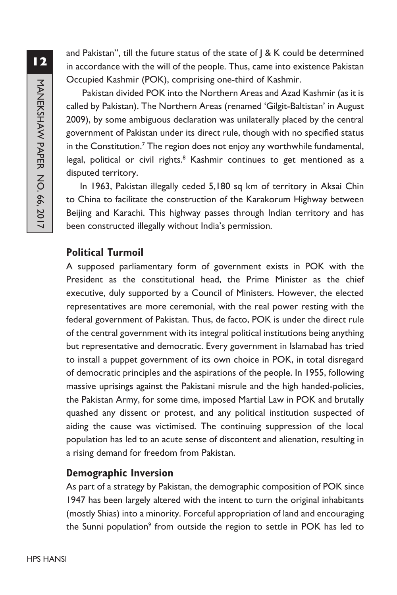and Pakistan", till the future status of the state of  $\beta$  K could be determined in accordance with the will of the people. Thus, came into existence Pakistan Occupied Kashmir (POK), comprising one-third of Kashmir.

 Pakistan divided POK into the Northern Areas and Azad Kashmir (as it is called by Pakistan). The Northern Areas (renamed 'Gilgit-Baltistan' in August 2009), by some ambiguous declaration was unilaterally placed by the central government of Pakistan under its direct rule, though with no specified status in the Constitution.<sup>7</sup> The region does not enjoy any worthwhile fundamental, legal, political or civil rights. $8$  Kashmir continues to get mentioned as a disputed territory.

In 1963, Pakistan illegally ceded 5,180 sq km of territory in Aksai Chin to China to facilitate the construction of the Karakorum Highway between Beijing and Karachi. This highway passes through Indian territory and has been constructed illegally without India's permission.

## **Political Turmoil**

A supposed parliamentary form of government exists in POK with the President as the constitutional head, the Prime Minister as the chief executive, duly supported by a Council of Ministers. However, the elected representatives are more ceremonial, with the real power resting with the federal government of Pakistan. Thus, de facto, POK is under the direct rule of the central government with its integral political institutions being anything but representative and democratic. Every government in Islamabad has tried to install a puppet government of its own choice in POK, in total disregard of democratic principles and the aspirations of the people. In 1955, following massive uprisings against the Pakistani misrule and the high handed-policies, the Pakistan Army, for some time, imposed Martial Law in POK and brutally quashed any dissent or protest, and any political institution suspected of aiding the cause was victimised. The continuing suppression of the local population has led to an acute sense of discontent and alienation, resulting in a rising demand for freedom from Pakistan.

## **Demographic Inversion**

As part of a strategy by Pakistan, the demographic composition of POK since 1947 has been largely altered with the intent to turn the original inhabitants (mostly Shias) into a minority. Forceful appropriation of land and encouraging the Sunni population<sup>9</sup> from outside the region to settle in POK has led to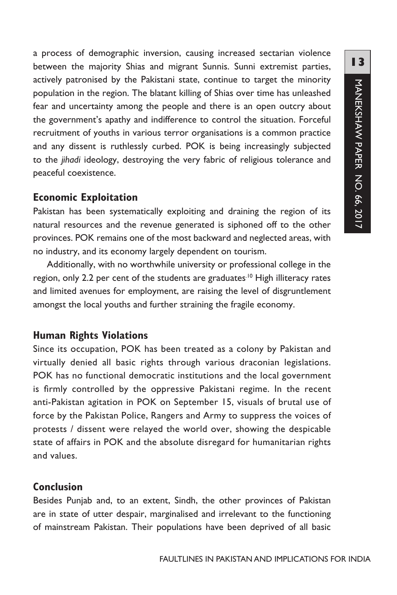a process of demographic inversion, causing increased sectarian violence between the majority Shias and migrant Sunnis. Sunni extremist parties, actively patronised by the Pakistani state, continue to target the minority population in the region. The blatant killing of Shias over time has unleashed fear and uncertainty among the people and there is an open outcry about the government's apathy and indifference to control the situation. Forceful recruitment of youths in various terror organisations is a common practice and any dissent is ruthlessly curbed. POK is being increasingly subjected to the *jihadi* ideology, destroying the very fabric of religious tolerance and peaceful coexistence.

#### **Economic Exploitation**

Pakistan has been systematically exploiting and draining the region of its natural resources and the revenue generated is siphoned off to the other provinces. POK remains one of the most backward and neglected areas, with no industry, and its economy largely dependent on tourism.

Additionally, with no worthwhile university or professional college in the region, only 2.2 per cent of the students are graduates.<sup>10</sup> High illiteracy rates and limited avenues for employment, are raising the level of disgruntlement amongst the local youths and further straining the fragile economy.

## **Human Rights Violations**

Since its occupation, POK has been treated as a colony by Pakistan and virtually denied all basic rights through various draconian legislations. POK has no functional democratic institutions and the local government is firmly controlled by the oppressive Pakistani regime. In the recent anti-Pakistan agitation in POK on September 15, visuals of brutal use of force by the Pakistan Police, Rangers and Army to suppress the voices of protests / dissent were relayed the world over, showing the despicable state of affairs in POK and the absolute disregard for humanitarian rights and values.

## **Conclusion**

Besides Punjab and, to an extent, Sindh, the other provinces of Pakistan are in state of utter despair, marginalised and irrelevant to the functioning of mainstream Pakistan. Their populations have been deprived of all basic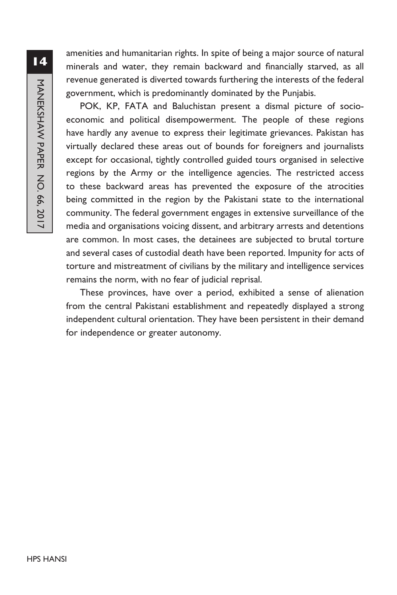amenities and humanitarian rights. In spite of being a major source of natural minerals and water, they remain backward and financially starved, as all revenue generated is diverted towards furthering the interests of the federal government, which is predominantly dominated by the Punjabis.

POK, KP, FATA and Baluchistan present a dismal picture of socioeconomic and political disempowerment. The people of these regions have hardly any avenue to express their legitimate grievances. Pakistan has virtually declared these areas out of bounds for foreigners and journalists except for occasional, tightly controlled guided tours organised in selective regions by the Army or the intelligence agencies. The restricted access to these backward areas has prevented the exposure of the atrocities being committed in the region by the Pakistani state to the international community. The federal government engages in extensive surveillance of the media and organisations voicing dissent, and arbitrary arrests and detentions are common. In most cases, the detainees are subjected to brutal torture and several cases of custodial death have been reported. Impunity for acts of torture and mistreatment of civilians by the military and intelligence services remains the norm, with no fear of judicial reprisal.

These provinces, have over a period, exhibited a sense of alienation from the central Pakistani establishment and repeatedly displayed a strong independent cultural orientation. They have been persistent in their demand for independence or greater autonomy.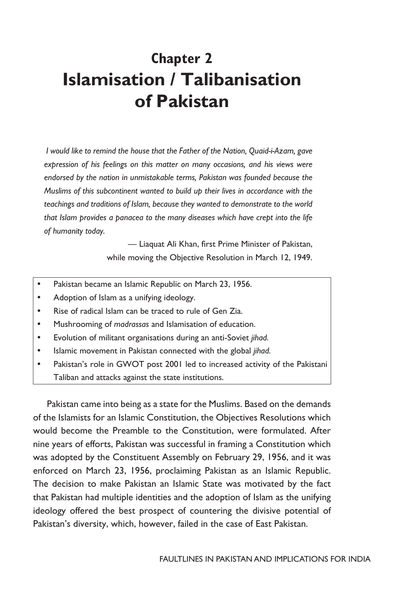# **Chapter 2 Islamisation / Talibanisation of Pakistan**

 *I would like to remind the house that the Father of the Nation, Quaid-i-Azam, gave expression of his feelings on this matter on many occasions, and his views were endorsed by the nation in unmistakable terms, Pakistan was founded because the Muslims of this subcontinent wanted to build up their lives in accordance with the teachings and traditions of Islam, because they wanted to demonstrate to the world that Islam provides a panacea to the many diseases which have crept into the life of humanity today.*

> *—* Liaquat Ali Khan, first Prime Minister of Pakistan, while moving the Objective Resolution in March 12, 1949.

- Pakistan became an Islamic Republic on March 23, 1956.
- Adoption of Islam as a unifying ideology.
- Rise of radical Islam can be traced to rule of Gen Zia.
- y Mushrooming of *madrassas* and Islamisation of education.
- y Evolution of militant organisations during an anti-Soviet *jihad.*
- Islamic movement in Pakistan connected with the global *jihad*.
- Pakistan's role in GWOT post 2001 led to increased activity of the Pakistani Taliban and attacks against the state institutions.

Pakistan came into being as a state for the Muslims. Based on the demands of the Islamists for an Islamic Constitution, the Objectives Resolutions which would become the Preamble to the Constitution, were formulated. After nine years of efforts, Pakistan was successful in framing a Constitution which was adopted by the Constituent Assembly on February 29, 1956, and it was enforced on March 23, 1956, proclaiming Pakistan as an Islamic Republic. The decision to make Pakistan an Islamic State was motivated by the fact that Pakistan had multiple identities and the adoption of Islam as the unifying ideology offered the best prospect of countering the divisive potential of Pakistan's diversity, which, however, failed in the case of East Pakistan.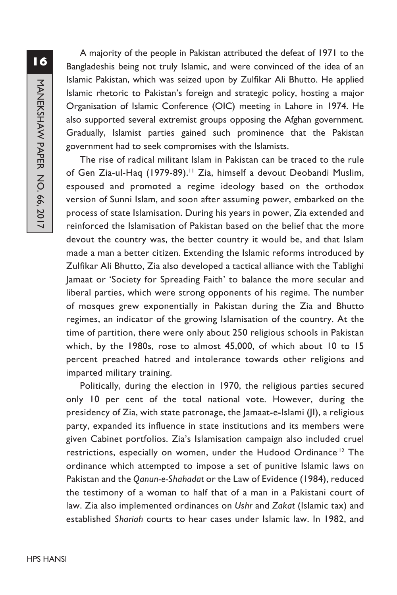A majority of the people in Pakistan attributed the defeat of 1971 to the Bangladeshis being not truly Islamic, and were convinced of the idea of an Islamic Pakistan, which was seized upon by Zulfikar Ali Bhutto. He applied Islamic rhetoric to Pakistan's foreign and strategic policy, hosting a major Organisation of Islamic Conference (OIC) meeting in Lahore in 1974. He also supported several extremist groups opposing the Afghan government. Gradually, Islamist parties gained such prominence that the Pakistan government had to seek compromises with the Islamists.

The rise of radical militant Islam in Pakistan can be traced to the rule of Gen Zia-ul-Haq (1979-89).<sup>11</sup> Zia, himself a devout Deobandi Muslim, espoused and promoted a regime ideology based on the orthodox version of Sunni Islam, and soon after assuming power, embarked on the process of state Islamisation. During his years in power, Zia extended and reinforced the Islamisation of Pakistan based on the belief that the more devout the country was, the better country it would be, and that Islam made a man a better citizen. Extending the Islamic reforms introduced by Zulfikar Ali Bhutto, Zia also developed a tactical alliance with the Tablighi Jamaat or 'Society for Spreading Faith' to balance the more secular and liberal parties, which were strong opponents of his regime. The number of mosques grew exponentially in Pakistan during the Zia and Bhutto regimes, an indicator of the growing Islamisation of the country. At the time of partition, there were only about 250 religious schools in Pakistan which, by the 1980s, rose to almost 45,000, of which about 10 to 15 percent preached hatred and intolerance towards other religions and imparted military training.

Politically, during the election in 1970, the religious parties secured only 10 per cent of the total national vote. However, during the presidency of Zia, with state patronage, the Jamaat-e-Islami (JI), a religious party, expanded its influence in state institutions and its members were given Cabinet portfolios. Zia's Islamisation campaign also included cruel restrictions, especially on women, under the Hudood Ordinance<sup>12</sup> The ordinance which attempted to impose a set of punitive Islamic laws on Pakistan and the *Qanun-e-Shahadat* or the Law of Evidence (1984), reduced the testimony of a woman to half that of a man in a Pakistani court of law. Zia also implemented ordinances on *Ushr* and *Zakat* (Islamic tax) and established *Shariah* courts to hear cases under Islamic law. In 1982, and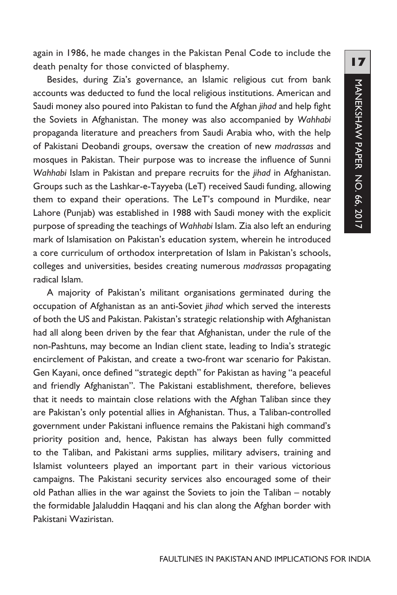again in 1986, he made changes in the Pakistan Penal Code to include the death penalty for those convicted of blasphemy.

Besides, during Zia's governance, an Islamic religious cut from bank accounts was deducted to fund the local religious institutions. American and Saudi money also poured into Pakistan to fund the Afghan *jihad* and help fight the Soviets in Afghanistan. The money was also accompanied by *Wahhabi*  propaganda literature and preachers from Saudi Arabia who, with the help of Pakistani Deobandi groups, oversaw the creation of new *madrassas* and mosques in Pakistan. Their purpose was to increase the influence of Sunni *Wahhabi* Islam in Pakistan and prepare recruits for the *jihad* in Afghanistan. Groups such as the Lashkar-e-Tayyeba (LeT) received Saudi funding, allowing them to expand their operations. The LeT's compound in Murdike, near Lahore (Punjab) was established in 1988 with Saudi money with the explicit purpose of spreading the teachings of *Wahhabi* Islam. Zia also left an enduring mark of Islamisation on Pakistan's education system, wherein he introduced a core curriculum of orthodox interpretation of Islam in Pakistan's schools, colleges and universities, besides creating numerous *madrassas* propagating radical Islam.

A majority of Pakistan's militant organisations germinated during the occupation of Afghanistan as an anti-Soviet *jihad* which served the interests of both the US and Pakistan. Pakistan's strategic relationship with Afghanistan had all along been driven by the fear that Afghanistan, under the rule of the non-Pashtuns, may become an Indian client state, leading to India's strategic encirclement of Pakistan, and create a two-front war scenario for Pakistan. Gen Kayani, once defined "strategic depth" for Pakistan as having "a peaceful and friendly Afghanistan". The Pakistani establishment, therefore, believes that it needs to maintain close relations with the Afghan Taliban since they are Pakistan's only potential allies in Afghanistan. Thus, a Taliban-controlled government under Pakistani influence remains the Pakistani high command's priority position and, hence, Pakistan has always been fully committed to the Taliban, and Pakistani arms supplies, military advisers, training and Islamist volunteers played an important part in their various victorious campaigns. The Pakistani security services also encouraged some of their old Pathan allies in the war against the Soviets to join the Taliban – notably the formidable Jalaluddin Haqqani and his clan along the Afghan border with Pakistani Waziristan.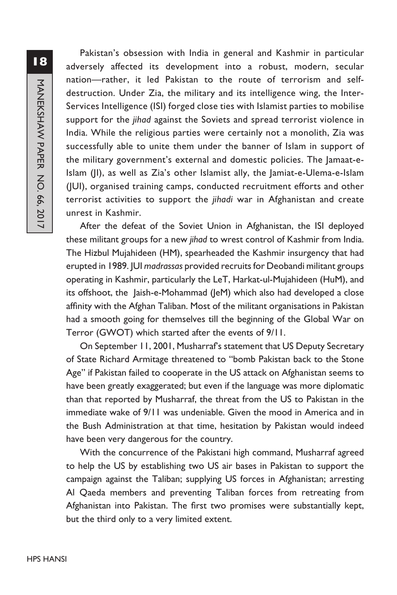Pakistan's obsession with India in general and Kashmir in particular adversely affected its development into a robust, modern, secular nation—rather, it led Pakistan to the route of terrorism and selfdestruction. Under Zia, the military and its intelligence wing, the Inter-Services Intelligence (ISI) forged close ties with Islamist parties to mobilise support for the *jihad* against the Soviets and spread terrorist violence in India. While the religious parties were certainly not a monolith, Zia was successfully able to unite them under the banner of Islam in support of the military government's external and domestic policies. The Jamaat-e-Islam (JI), as well as Zia's other Islamist ally, the Jamiat-e-Ulema-e-Islam (JUI), organised training camps, conducted recruitment efforts and other terrorist activities to support the *jihadi* war in Afghanistan and create unrest in Kashmir.

After the defeat of the Soviet Union in Afghanistan, the ISI deployed these militant groups for a new *jihad* to wrest control of Kashmir from India. The Hizbul Mujahideen (HM), spearheaded the Kashmir insurgency that had erupted in 1989. JUI *madrassas* provided recruits for Deobandi militant groups operating in Kashmir, particularly the LeT, Harkat-ul-Mujahideen (HuM), and its offshoot, the Jaish-e-Mohammad (JeM) which also had developed a close affinity with the Afghan Taliban. Most of the militant organisations in Pakistan had a smooth going for themselves till the beginning of the Global War on Terror (GWOT) which started after the events of 9/11.

On September 11, 2001, Musharraf's statement that US Deputy Secretary of State Richard Armitage threatened to "bomb Pakistan back to the Stone Age" if Pakistan failed to cooperate in the US attack on Afghanistan seems to have been greatly exaggerated; but even if the language was more diplomatic than that reported by Musharraf, the threat from the US to Pakistan in the immediate wake of 9/11 was undeniable. Given the mood in America and in the Bush Administration at that time, hesitation by Pakistan would indeed have been very dangerous for the country.

With the concurrence of the Pakistani high command, Musharraf agreed to help the US by establishing two US air bases in Pakistan to support the campaign against the Taliban; supplying US forces in Afghanistan; arresting Al Qaeda members and preventing Taliban forces from retreating from Afghanistan into Pakistan. The first two promises were substantially kept, but the third only to a very limited extent.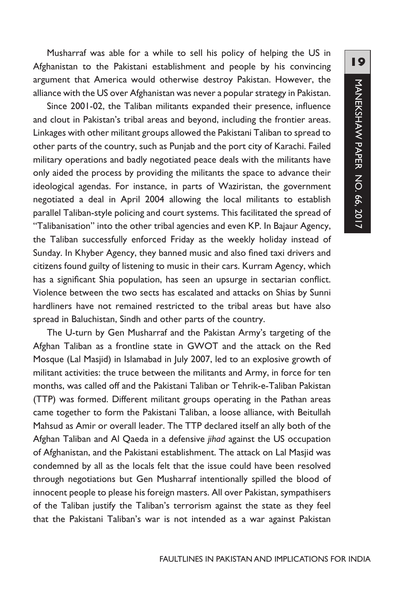Musharraf was able for a while to sell his policy of helping the US in Afghanistan to the Pakistani establishment and people by his convincing argument that America would otherwise destroy Pakistan. However, the alliance with the US over Afghanistan was never a popular strategy in Pakistan.

Since 2001-02, the Taliban militants expanded their presence, influence and clout in Pakistan's tribal areas and beyond, including the frontier areas. Linkages with other militant groups allowed the Pakistani Taliban to spread to other parts of the country, such as Punjab and the port city of Karachi. Failed military operations and badly negotiated peace deals with the militants have only aided the process by providing the militants the space to advance their ideological agendas. For instance, in parts of Waziristan, the government negotiated a deal in April 2004 allowing the local militants to establish parallel Taliban-style policing and court systems. This facilitated the spread of "Talibanisation" into the other tribal agencies and even KP. In Bajaur Agency, the Taliban successfully enforced Friday as the weekly holiday instead of Sunday. In Khyber Agency, they banned music and also fined taxi drivers and citizens found guilty of listening to music in their cars. Kurram Agency, which has a significant Shia population, has seen an upsurge in sectarian conflict. Violence between the two sects has escalated and attacks on Shias by Sunni hardliners have not remained restricted to the tribal areas but have also spread in Baluchistan, Sindh and other parts of the country.

The U-turn by Gen Musharraf and the Pakistan Army's targeting of the Afghan Taliban as a frontline state in GWOT and the attack on the Red Mosque (Lal Masjid) in Islamabad in July 2007, led to an explosive growth of militant activities: the truce between the militants and Army, in force for ten months, was called off and the Pakistani Taliban or Tehrik-e-Taliban Pakistan (TTP) was formed. Different militant groups operating in the Pathan areas came together to form the Pakistani Taliban, a loose alliance, with Beitullah Mahsud as Amir or overall leader. The TTP declared itself an ally both of the Afghan Taliban and Al Qaeda in a defensive *jihad* against the US occupation of Afghanistan, and the Pakistani establishment. The attack on Lal Masjid was condemned by all as the locals felt that the issue could have been resolved through negotiations but Gen Musharraf intentionally spilled the blood of innocent people to please his foreign masters. All over Pakistan, sympathisers of the Taliban justify the Taliban's terrorism against the state as they feel that the Pakistani Taliban's war is not intended as a war against Pakistan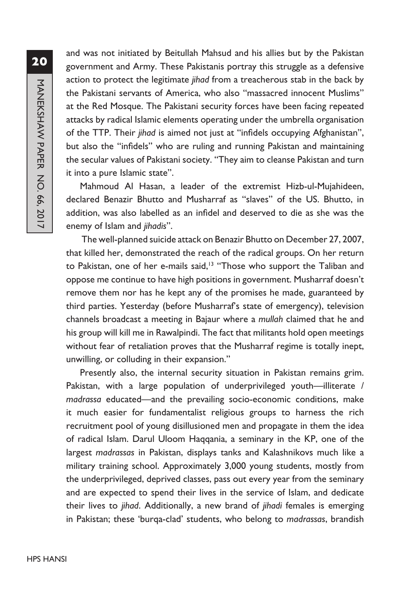and was not initiated by Beitullah Mahsud and his allies but by the Pakistan government and Army. These Pakistanis portray this struggle as a defensive action to protect the legitimate *jihad* from a treacherous stab in the back by the Pakistani servants of America, who also "massacred innocent Muslims" at the Red Mosque. The Pakistani security forces have been facing repeated attacks by radical Islamic elements operating under the umbrella organisation of the TTP. Their *jihad* is aimed not just at "infidels occupying Afghanistan", but also the "infidels" who are ruling and running Pakistan and maintaining the secular values of Pakistani society. "They aim to cleanse Pakistan and turn it into a pure Islamic state".

Mahmoud Al Hasan, a leader of the extremist Hizb-ul-Mujahideen, declared Benazir Bhutto and Musharraf as "slaves" of the US. Bhutto, in addition, was also labelled as an infidel and deserved to die as she was the enemy of Islam and *jihadis*".

 The well-planned suicide attack on Benazir Bhutto on December 27, 2007, that killed her, demonstrated the reach of the radical groups. On her return to Pakistan, one of her e-mails said,<sup>13</sup> "Those who support the Taliban and oppose me continue to have high positions in government. Musharraf doesn't remove them nor has he kept any of the promises he made, guaranteed by third parties. Yesterday (before Musharraf's state of emergency), television channels broadcast a meeting in Bajaur where a *mullah* claimed that he and his group will kill me in Rawalpindi. The fact that militants hold open meetings without fear of retaliation proves that the Musharraf regime is totally inept, unwilling, or colluding in their expansion."

Presently also, the internal security situation in Pakistan remains grim. Pakistan, with a large population of underprivileged youth—illiterate / *madrassa* educated—and the prevailing socio-economic conditions, make it much easier for fundamentalist religious groups to harness the rich recruitment pool of young disillusioned men and propagate in them the idea of radical Islam. Darul Uloom Haqqania, a seminary in the KP, one of the largest *madrassas* in Pakistan, displays tanks and Kalashnikovs much like a military training school. Approximately 3,000 young students, mostly from the underprivileged, deprived classes, pass out every year from the seminary and are expected to spend their lives in the service of Islam, and dedicate their lives to *jihad*. Additionally, a new brand of *jihadi* females is emerging in Pakistan; these 'burqa-clad' students, who belong to *madrassas*, brandish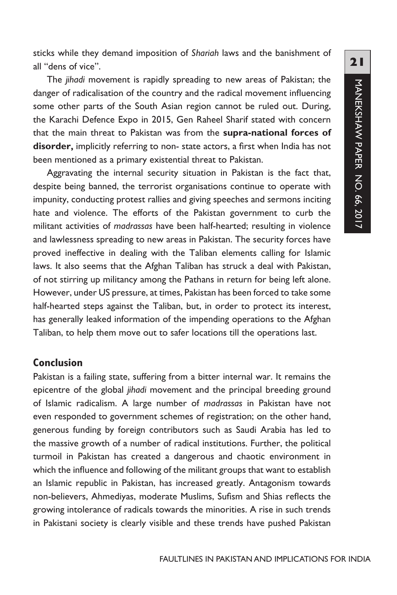sticks while they demand imposition of *Shariah* laws and the banishment of all "dens of vice".

The *jihadi* movement is rapidly spreading to new areas of Pakistan; the danger of radicalisation of the country and the radical movement influencing some other parts of the South Asian region cannot be ruled out. During, the Karachi Defence Expo in 2015, Gen Raheel Sharif stated with concern that the main threat to Pakistan was from the **supra-national forces of disorder,** implicitly referring to non- state actors, a first when India has not been mentioned as a primary existential threat to Pakistan.

Aggravating the internal security situation in Pakistan is the fact that, despite being banned, the terrorist organisations continue to operate with impunity, conducting protest rallies and giving speeches and sermons inciting hate and violence. The efforts of the Pakistan government to curb the militant activities of *madrassas* have been half-hearted; resulting in violence and lawlessness spreading to new areas in Pakistan. The security forces have proved ineffective in dealing with the Taliban elements calling for Islamic laws. It also seems that the Afghan Taliban has struck a deal with Pakistan, of not stirring up militancy among the Pathans in return for being left alone. However, under US pressure, at times, Pakistan has been forced to take some half-hearted steps against the Taliban, but, in order to protect its interest, has generally leaked information of the impending operations to the Afghan Taliban, to help them move out to safer locations till the operations last.

#### **Conclusion**

Pakistan is a failing state, suffering from a bitter internal war. It remains the epicentre of the global *jihadi* movement and the principal breeding ground of Islamic radicalism. A large number of *madrassas* in Pakistan have not even responded to government schemes of registration; on the other hand, generous funding by foreign contributors such as Saudi Arabia has led to the massive growth of a number of radical institutions. Further, the political turmoil in Pakistan has created a dangerous and chaotic environment in which the influence and following of the militant groups that want to establish an Islamic republic in Pakistan, has increased greatly. Antagonism towards non-believers, Ahmediyas, moderate Muslims, Sufism and Shias reflects the growing intolerance of radicals towards the minorities. A rise in such trends in Pakistani society is clearly visible and these trends have pushed Pakistan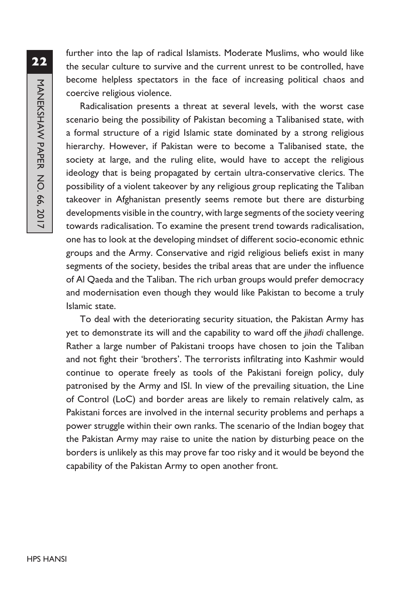further into the lap of radical Islamists. Moderate Muslims, who would like the secular culture to survive and the current unrest to be controlled, have become helpless spectators in the face of increasing political chaos and coercive religious violence.

Radicalisation presents a threat at several levels, with the worst case scenario being the possibility of Pakistan becoming a Talibanised state, with a formal structure of a rigid Islamic state dominated by a strong religious hierarchy. However, if Pakistan were to become a Talibanised state, the society at large, and the ruling elite, would have to accept the religious ideology that is being propagated by certain ultra-conservative clerics. The possibility of a violent takeover by any religious group replicating the Taliban takeover in Afghanistan presently seems remote but there are disturbing developments visible in the country, with large segments of the society veering towards radicalisation. To examine the present trend towards radicalisation, one has to look at the developing mindset of different socio-economic ethnic groups and the Army. Conservative and rigid religious beliefs exist in many segments of the society, besides the tribal areas that are under the influence of Al Qaeda and the Taliban. The rich urban groups would prefer democracy and modernisation even though they would like Pakistan to become a truly Islamic state.

To deal with the deteriorating security situation, the Pakistan Army has yet to demonstrate its will and the capability to ward off the *jihadi* challenge. Rather a large number of Pakistani troops have chosen to join the Taliban and not fight their 'brothers'. The terrorists infiltrating into Kashmir would continue to operate freely as tools of the Pakistani foreign policy, duly patronised by the Army and ISI. In view of the prevailing situation, the Line of Control (LoC) and border areas are likely to remain relatively calm, as Pakistani forces are involved in the internal security problems and perhaps a power struggle within their own ranks. The scenario of the Indian bogey that the Pakistan Army may raise to unite the nation by disturbing peace on the borders is unlikely as this may prove far too risky and it would be beyond the capability of the Pakistan Army to open another front.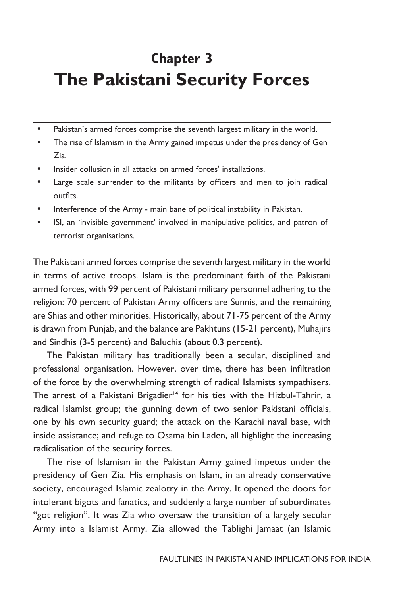## **Chapter 3 The Pakistani Security Forces**

- Pakistan's armed forces comprise the seventh largest military in the world.
- The rise of Islamism in the Army gained impetus under the presidency of Gen Zia.
- Insider collusion in all attacks on armed forces' installations.
- Large scale surrender to the militants by officers and men to join radical outfits.
- Interference of the Army main bane of political instability in Pakistan.
- ISI, an 'invisible government' involved in manipulative politics, and patron of terrorist organisations.

The Pakistani armed forces comprise the seventh largest military in the world in terms of active troops. Islam is the predominant faith of the Pakistani armed forces, with 99 percent of Pakistani military personnel adhering to the religion: 70 percent of Pakistan Army officers are Sunnis, and the remaining are Shias and other minorities. Historically, about 71-75 percent of the Army is drawn from Punjab, and the balance are Pakhtuns (15-21 percent), Muhajirs and Sindhis (3-5 percent) and Baluchis (about 0.3 percent).

The Pakistan military has traditionally been a secular, disciplined and professional organisation. However, over time, there has been infiltration of the force by the overwhelming strength of radical Islamists sympathisers. The arrest of a Pakistani Brigadier<sup>14</sup> for his ties with the Hizbul-Tahrir, a radical Islamist group; the gunning down of two senior Pakistani officials, one by his own security guard; the attack on the Karachi naval base, with inside assistance; and refuge to Osama bin Laden, all highlight the increasing radicalisation of the security forces.

The rise of Islamism in the Pakistan Army gained impetus under the presidency of Gen Zia. His emphasis on Islam, in an already conservative society, encouraged Islamic zealotry in the Army. It opened the doors for intolerant bigots and fanatics, and suddenly a large number of subordinates "got religion". It was Zia who oversaw the transition of a largely secular Army into a Islamist Army. Zia allowed the Tablighi Jamaat (an Islamic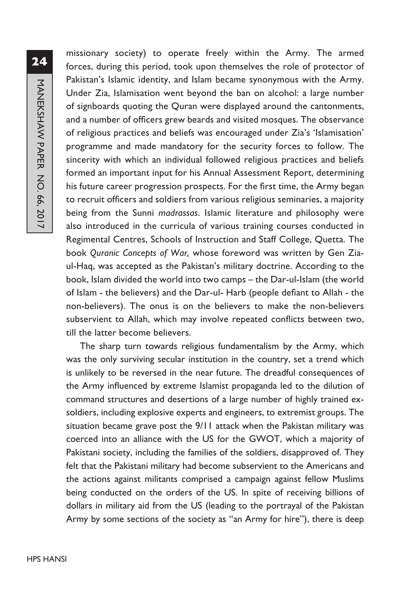missionary society) to operate freely within the Army. The armed forces, during this period, took upon themselves the role of protector of Pakistan's Islamic identity, and Islam became synonymous with the Army. Under Zia, Islamisation went beyond the ban on alcohol: a large number of signboards quoting the Quran were displayed around the cantonments, and a number of officers grew beards and visited mosques. The observance of religious practices and beliefs was encouraged under Zia's 'Islamisation' programme and made mandatory for the security forces to follow. The sincerity with which an individual followed religious practices and beliefs formed an important input for his Annual Assessment Report, determining his future career progression prospects. For the first time, the Army began to recruit officers and soldiers from various religious seminaries, a majority being from the Sunni *madrassas*. Islamic literature and philosophy were also introduced in the curricula of various training courses conducted in Regimental Centres, Schools of Instruction and Staff College, Quetta. The book *Quranic Concepts of War,* whose foreword was written by Gen Ziaul-Haq, was accepted as the Pakistan's military doctrine. According to the book, Islam divided the world into two camps – the Dar-ul-Islam (the world of Islam - the believers) and the Dar-ul- Harb (people defiant to Allah - the non-believers). The onus is on the believers to make the non-believers subservient to Allah, which may involve repeated conflicts between two, till the latter become believers.

The sharp turn towards religious fundamentalism by the Army, which was the only surviving secular institution in the country, set a trend which is unlikely to be reversed in the near future. The dreadful consequences of the Army influenced by extreme Islamist propaganda led to the dilution of command structures and desertions of a large number of highly trained exsoldiers, including explosive experts and engineers, to extremist groups. The situation became grave post the 9/11 attack when the Pakistan military was coerced into an alliance with the US for the GWOT, which a majority of Pakistani society, including the families of the soldiers, disapproved of. They felt that the Pakistani military had become subservient to the Americans and the actions against militants comprised a campaign against fellow Muslims being conducted on the orders of the US. In spite of receiving billions of dollars in military aid from the US (leading to the portrayal of the Pakistan Army by some sections of the society as "an Army for hire"), there is deep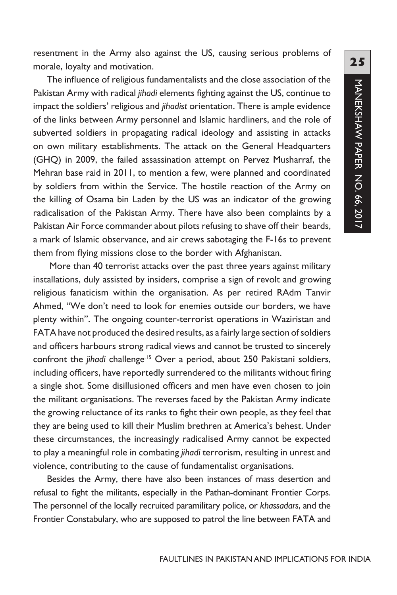resentment in the Army also against the US, causing serious problems of morale, loyalty and motivation.

The influence of religious fundamentalists and the close association of the Pakistan Army with radical *jihadi* elements fighting against the US, continue to impact the soldiers' religious and *jihadist* orientation. There is ample evidence of the links between Army personnel and Islamic hardliners, and the role of subverted soldiers in propagating radical ideology and assisting in attacks on own military establishments. The attack on the General Headquarters (GHQ) in 2009, the failed assassination attempt on Pervez Musharraf, the Mehran base raid in 2011, to mention a few, were planned and coordinated by soldiers from within the Service. The hostile reaction of the Army on the killing of Osama bin Laden by the US was an indicator of the growing radicalisation of the Pakistan Army. There have also been complaints by a Pakistan Air Force commander about pilots refusing to shave off their beards, a mark of Islamic observance, and air crews sabotaging the F-16s to prevent them from flying missions close to the border with Afghanistan.

 More than 40 terrorist attacks over the past three years against military installations, duly assisted by insiders, comprise a sign of revolt and growing religious fanaticism within the organisation. As per retired RAdm Tanvir Ahmed, "We don't need to look for enemies outside our borders, we have plenty within". The ongoing counter-terrorist operations in Waziristan and FATA have not produced the desired results, as a fairly large section of soldiers and officers harbours strong radical views and cannot be trusted to sincerely confront the *jihadi* challenge.15 Over a period, about 250 Pakistani soldiers, including officers, have reportedly surrendered to the militants without firing a single shot. Some disillusioned officers and men have even chosen to join the militant organisations. The reverses faced by the Pakistan Army indicate the growing reluctance of its ranks to fight their own people, as they feel that they are being used to kill their Muslim brethren at America's behest. Under these circumstances, the increasingly radicalised Army cannot be expected to play a meaningful role in combating *jihadi* terrorism, resulting in unrest and violence, contributing to the cause of fundamentalist organisations.

Besides the Army, there have also been instances of mass desertion and refusal to fight the militants, especially in the Pathan-dominant Frontier Corps. The personnel of the locally recruited paramilitary police, or *khassadars*, and the Frontier Constabulary, who are supposed to patrol the line between FATA and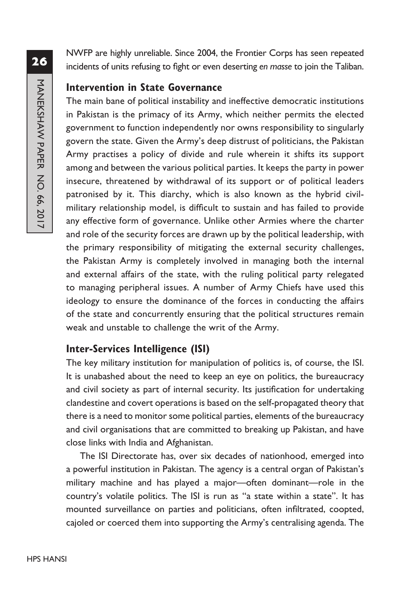NWFP are highly unreliable. Since 2004, the Frontier Corps has seen repeated incidents of units refusing to fight or even deserting *en masse* to join the Taliban.

#### **Intervention in State Governance**

The main bane of political instability and ineffective democratic institutions in Pakistan is the primacy of its Army, which neither permits the elected government to function independently nor owns responsibility to singularly govern the state. Given the Army's deep distrust of politicians, the Pakistan Army practises a policy of divide and rule wherein it shifts its support among and between the various political parties. It keeps the party in power insecure, threatened by withdrawal of its support or of political leaders patronised by it. This diarchy, which is also known as the hybrid civilmilitary relationship model, is difficult to sustain and has failed to provide any effective form of governance. Unlike other Armies where the charter and role of the security forces are drawn up by the political leadership, with the primary responsibility of mitigating the external security challenges, the Pakistan Army is completely involved in managing both the internal and external affairs of the state, with the ruling political party relegated to managing peripheral issues. A number of Army Chiefs have used this ideology to ensure the dominance of the forces in conducting the affairs of the state and concurrently ensuring that the political structures remain weak and unstable to challenge the writ of the Army.

## **Inter-Services Intelligence (ISI)**

The key military institution for manipulation of politics is, of course, the ISI. It is unabashed about the need to keep an eye on politics, the bureaucracy and civil society as part of internal security. Its justification for undertaking clandestine and covert operations is based on the self-propagated theory that there is a need to monitor some political parties, elements of the bureaucracy and civil organisations that are committed to breaking up Pakistan, and have close links with India and Afghanistan.

The ISI Directorate has, over six decades of nationhood, emerged into a powerful institution in Pakistan. The agency is a central organ of Pakistan's military machine and has played a major—often dominant—role in the country's volatile politics. The ISI is run as "a state within a state". It has mounted surveillance on parties and politicians, often infiltrated, coopted, cajoled or coerced them into supporting the Army's centralising agenda. The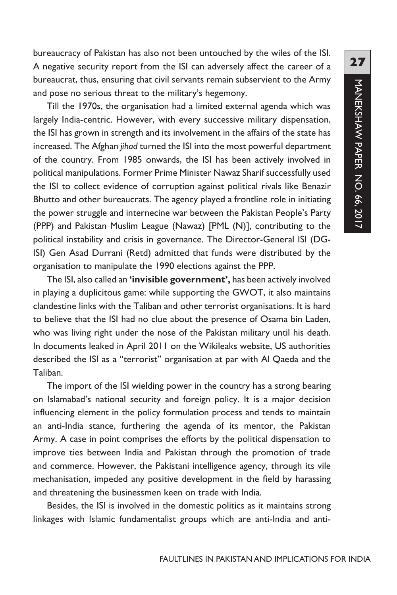bureaucracy of Pakistan has also not been untouched by the wiles of the ISI. A negative security report from the ISI can adversely affect the career of a bureaucrat, thus, ensuring that civil servants remain subservient to the Army and pose no serious threat to the military's hegemony.

Till the 1970s, the organisation had a limited external agenda which was largely India-centric. However, with every successive military dispensation, the ISI has grown in strength and its involvement in the affairs of the state has increased. The Afghan *jihad* turned the ISI into the most powerful department of the country. From 1985 onwards, the ISI has been actively involved in political manipulations. Former Prime Minister Nawaz Sharif successfully used the ISI to collect evidence of corruption against political rivals like Benazir Bhutto and other bureaucrats. The agency played a frontline role in initiating the power struggle and internecine war between the Pakistan People's Party (PPP) and Pakistan Muslim League (Nawaz) [PML (N)], contributing to the political instability and crisis in governance. The Director-General ISI (DG-ISI) Gen Asad Durrani (Retd) admitted that funds were distributed by the organisation to manipulate the 1990 elections against the PPP.

The ISI, also called an **'invisible government',** has been actively involved in playing a duplicitous game: while supporting the GWOT, it also maintains clandestine links with the Taliban and other terrorist organisations. It is hard to believe that the ISI had no clue about the presence of Osama bin Laden, who was living right under the nose of the Pakistan military until his death. In documents leaked in April 2011 on the Wikileaks website, US authorities described the ISI as a "terrorist" organisation at par with Al Qaeda and the Taliban.

The import of the ISI wielding power in the country has a strong bearing on Islamabad's national security and foreign policy. It is a major decision influencing element in the policy formulation process and tends to maintain an anti-India stance, furthering the agenda of its mentor, the Pakistan Army. A case in point comprises the efforts by the political dispensation to improve ties between India and Pakistan through the promotion of trade and commerce. However, the Pakistani intelligence agency, through its vile mechanisation, impeded any positive development in the field by harassing and threatening the businessmen keen on trade with India.

Besides, the ISI is involved in the domestic politics as it maintains strong linkages with Islamic fundamentalist groups which are anti-India and anti-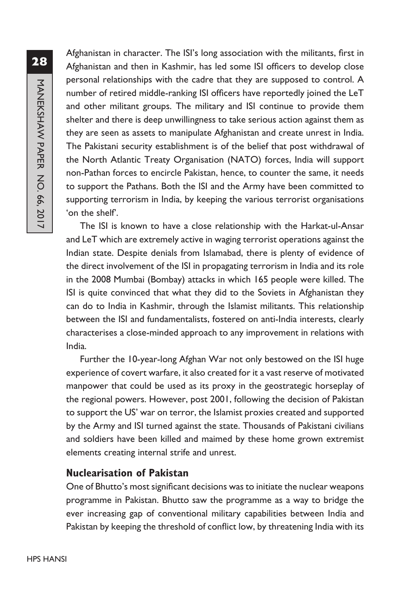Afghanistan in character. The ISI's long association with the militants, first in Afghanistan and then in Kashmir, has led some ISI officers to develop close personal relationships with the cadre that they are supposed to control. A number of retired middle-ranking ISI officers have reportedly joined the LeT and other militant groups. The military and ISI continue to provide them shelter and there is deep unwillingness to take serious action against them as they are seen as assets to manipulate Afghanistan and create unrest in India. The Pakistani security establishment is of the belief that post withdrawal of the North Atlantic Treaty Organisation (NATO) forces, India will support non-Pathan forces to encircle Pakistan, hence, to counter the same, it needs to support the Pathans. Both the ISI and the Army have been committed to supporting terrorism in India, by keeping the various terrorist organisations 'on the shelf'.

The ISI is known to have a close relationship with the Harkat-ul-Ansar and LeT which are extremely active in waging terrorist operations against the Indian state. Despite denials from Islamabad, there is plenty of evidence of the direct involvement of the ISI in propagating terrorism in India and its role in the 2008 Mumbai (Bombay) attacks in which 165 people were killed. The ISI is quite convinced that what they did to the Soviets in Afghanistan they can do to India in Kashmir, through the Islamist militants. This relationship between the ISI and fundamentalists, fostered on anti-India interests, clearly characterises a close-minded approach to any improvement in relations with India.

Further the 10-year-long Afghan War not only bestowed on the ISI huge experience of covert warfare, it also created for it a vast reserve of motivated manpower that could be used as its proxy in the geostrategic horseplay of the regional powers. However, post 2001, following the decision of Pakistan to support the US' war on terror, the Islamist proxies created and supported by the Army and ISI turned against the state. Thousands of Pakistani civilians and soldiers have been killed and maimed by these home grown extremist elements creating internal strife and unrest.

#### **Nuclearisation of Pakistan**

One of Bhutto's most significant decisions was to initiate the nuclear weapons programme in Pakistan. Bhutto saw the programme as a way to bridge the ever increasing gap of conventional military capabilities between India and Pakistan by keeping the threshold of conflict low, by threatening India with its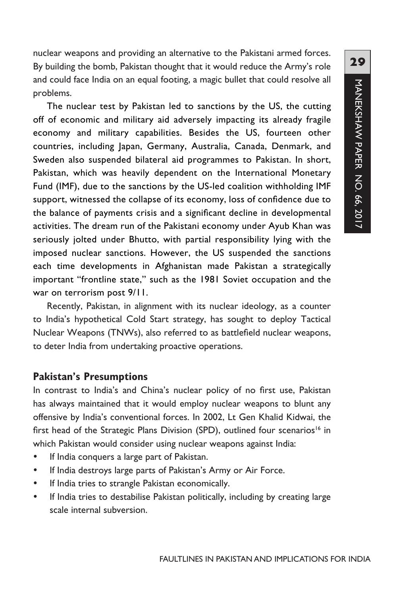nuclear weapons and providing an alternative to the Pakistani armed forces. By building the bomb, Pakistan thought that it would reduce the Army's role and could face India on an equal footing, a magic bullet that could resolve all problems.

The nuclear test by Pakistan led to sanctions by the US, the cutting off of economic and military aid adversely impacting its already fragile economy and military capabilities. Besides the US, fourteen other countries, including Japan, Germany, Australia, Canada, Denmark, and Sweden also suspended bilateral aid programmes to Pakistan. In short, Pakistan, which was heavily dependent on the International Monetary Fund (IMF), due to the sanctions by the US-led coalition withholding IMF support, witnessed the collapse of its economy, loss of confidence due to the balance of payments crisis and a significant decline in developmental activities. The dream run of the Pakistani economy under Ayub Khan was seriously jolted under Bhutto, with partial responsibility lying with the imposed nuclear sanctions. However, the US suspended the sanctions each time developments in Afghanistan made Pakistan a strategically important "frontline state," such as the 1981 Soviet occupation and the war on terrorism post 9/11.

Recently, Pakistan, in alignment with its nuclear ideology, as a counter to India's hypothetical Cold Start strategy, has sought to deploy Tactical Nuclear Weapons (TNWs), also referred to as battlefield nuclear weapons, to deter India from undertaking proactive operations.

#### **Pakistan's Presumptions**

In contrast to India's and China's nuclear policy of no first use, Pakistan has always maintained that it would employ nuclear weapons to blunt any offensive by India's conventional forces. In 2002, Lt Gen Khalid Kidwai, the first head of the Strategic Plans Division (SPD), outlined four scenarios<sup>16</sup> in which Pakistan would consider using nuclear weapons against India:

- If India conquers a large part of Pakistan.
- If India destroys large parts of Pakistan's Army or Air Force.
- If India tries to strangle Pakistan economically.
- If India tries to destabilise Pakistan politically, including by creating large scale internal subversion.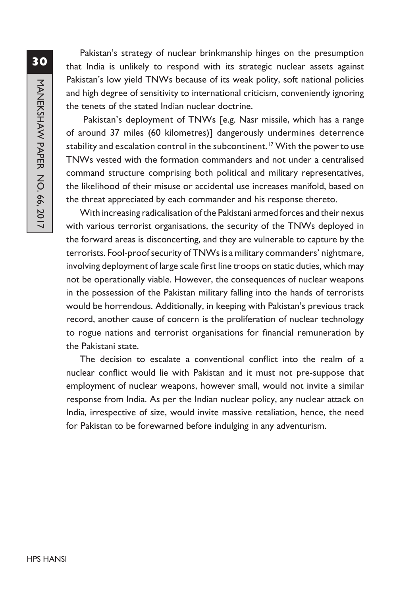Pakistan's strategy of nuclear brinkmanship hinges on the presumption that India is unlikely to respond with its strategic nuclear assets against Pakistan's low yield TNWs because of its weak polity, soft national policies and high degree of sensitivity to international criticism, conveniently ignoring the tenets of the stated Indian nuclear doctrine.

 Pakistan's deployment of TNWs [e.g. Nasr missile, which has a range of around 37 miles (60 kilometres)] dangerously undermines deterrence stability and escalation control in the subcontinent.<sup>17</sup> With the power to use TNWs vested with the formation commanders and not under a centralised command structure comprising both political and military representatives, the likelihood of their misuse or accidental use increases manifold, based on the threat appreciated by each commander and his response thereto.

With increasing radicalisation of the Pakistani armed forces and their nexus with various terrorist organisations, the security of the TNWs deployed in the forward areas is disconcerting, and they are vulnerable to capture by the terrorists. Fool-proof security of TNWs is a military commanders' nightmare, involving deployment of large scale first line troops on static duties, which may not be operationally viable. However, the consequences of nuclear weapons in the possession of the Pakistan military falling into the hands of terrorists would be horrendous. Additionally, in keeping with Pakistan's previous track record, another cause of concern is the proliferation of nuclear technology to rogue nations and terrorist organisations for financial remuneration by the Pakistani state.

The decision to escalate a conventional conflict into the realm of a nuclear conflict would lie with Pakistan and it must not pre-suppose that employment of nuclear weapons, however small, would not invite a similar response from India. As per the Indian nuclear policy, any nuclear attack on India, irrespective of size, would invite massive retaliation, hence, the need for Pakistan to be forewarned before indulging in any adventurism.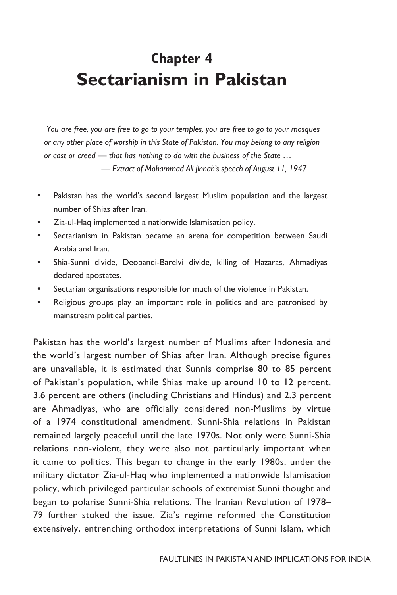## **Chapter 4 Sectarianism in Pakistan**

 *You are free, you are free to go to your temples, you are free to go to your mosques or any other place of worship in this State of Pakistan. You may belong to any religion or cast or creed — that has nothing to do with the business of the State …*

 *— Extract of Mohammad Ali Jinnah's speech of August 11, 1947*

- Pakistan has the world's second largest Muslim population and the largest number of Shias after Iran.
- Zia-ul-Haq implemented a nationwide Islamisation policy.
- Sectarianism in Pakistan became an arena for competition between Saudi Arabia and Iran.
- Shia-Sunni divide, Deobandi-Barelvi divide, killing of Hazaras, Ahmadiyas declared apostates.
- Sectarian organisations responsible for much of the violence in Pakistan.
- Religious groups play an important role in politics and are patronised by mainstream political parties.

Pakistan has the world's largest number of Muslims after Indonesia and the world's largest number of Shias after Iran. Although precise figures are unavailable, it is estimated that Sunnis comprise 80 to 85 percent of Pakistan's population, while Shias make up around 10 to 12 percent, 3.6 percent are others (including Christians and Hindus) and 2.3 percent are Ahmadiyas, who are officially considered non-Muslims by virtue of a 1974 constitutional amendment. Sunni-Shia relations in Pakistan remained largely peaceful until the late 1970s. Not only were Sunni-Shia relations non-violent, they were also not particularly important when it came to politics. This began to change in the early 1980s, under the military dictator Zia-ul-Haq who implemented a nationwide Islamisation policy, which privileged particular schools of extremist Sunni thought and began to polarise Sunni-Shia relations. The Iranian Revolution of 1978– 79 further stoked the issue. Zia's regime reformed the Constitution extensively, entrenching orthodox interpretations of Sunni Islam, which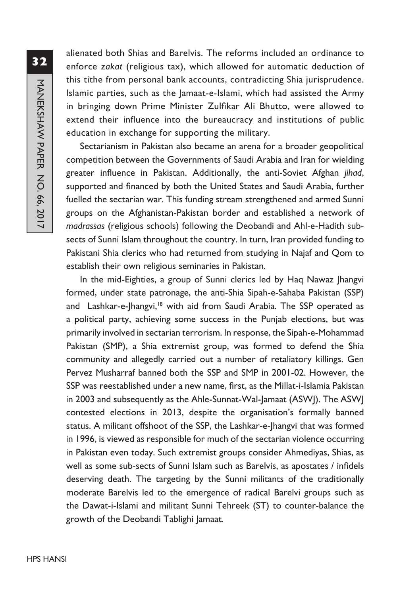alienated both Shias and Barelvis. The reforms included an ordinance to enforce *zakat* (religious tax), which allowed for automatic deduction of this tithe from personal bank accounts, contradicting Shia jurisprudence. Islamic parties, such as the Jamaat-e-Islami, which had assisted the Army in bringing down Prime Minister Zulfikar Ali Bhutto, were allowed to extend their influence into the bureaucracy and institutions of public education in exchange for supporting the military.

Sectarianism in Pakistan also became an arena for a broader geopolitical competition between the Governments of Saudi Arabia and Iran for wielding greater influence in Pakistan. Additionally, the anti-Soviet Afghan *jihad*, supported and financed by both the United States and Saudi Arabia, further fuelled the sectarian war. This funding stream strengthened and armed Sunni groups on the Afghanistan-Pakistan border and established a network of *madrassas* (religious schools) following the Deobandi and Ahl-e-Hadith subsects of Sunni Islam throughout the country. In turn, Iran provided funding to Pakistani Shia clerics who had returned from studying in Najaf and Qom to establish their own religious seminaries in Pakistan.

In the mid-Eighties, a group of Sunni clerics led by Haq Nawaz Jhangvi formed, under state patronage, the anti-Shia Sipah-e-Sahaba Pakistan (SSP) and Lashkar-e-Jhangvi,<sup>18</sup> with aid from Saudi Arabia. The SSP operated as a political party, achieving some success in the Punjab elections, but was primarily involved in sectarian terrorism. In response, the Sipah-e-Mohammad Pakistan (SMP), a Shia extremist group, was formed to defend the Shia community and allegedly carried out a number of retaliatory killings. Gen Pervez Musharraf banned both the SSP and SMP in 2001-02. However, the SSP was reestablished under a new name, first, as the Millat-i-Islamia Pakistan in 2003 and subsequently as the Ahle-Sunnat-Wal-Jamaat (ASWJ). The ASWJ contested elections in 2013, despite the organisation's formally banned status. A militant offshoot of the SSP, the Lashkar-e-Jhangvi that was formed in 1996, is viewed as responsible for much of the sectarian violence occurring in Pakistan even today. Such extremist groups consider Ahmediyas, Shias, as well as some sub-sects of Sunni Islam such as Barelvis, as apostates / infidels deserving death. The targeting by the Sunni militants of the traditionally moderate Barelvis led to the emergence of radical Barelvi groups such as the Dawat-i-Islami and militant Sunni Tehreek (ST) to counter-balance the growth of the Deobandi Tablighi Jamaat*.*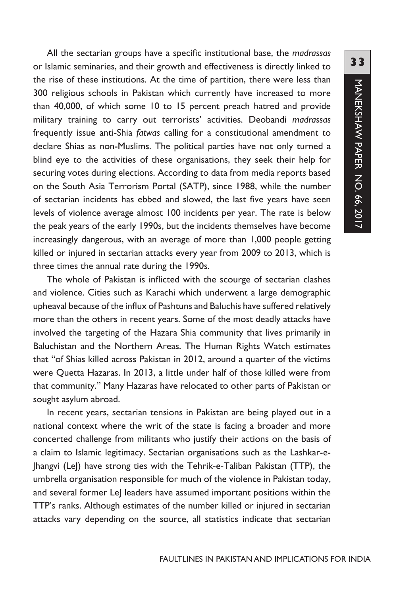All the sectarian groups have a specific institutional base, the *madrassas* or Islamic seminaries, and their growth and effectiveness is directly linked to the rise of these institutions. At the time of partition, there were less than 300 religious schools in Pakistan which currently have increased to more than 40,000, of which some 10 to 15 percent preach hatred and provide military training to carry out terrorists' activities. Deobandi *madrassas* frequently issue anti-Shia *fatwas* calling for a constitutional amendment to declare Shias as non-Muslims. The political parties have not only turned a blind eye to the activities of these organisations, they seek their help for securing votes during elections. According to data from media reports based on the South Asia Terrorism Portal (SATP), since 1988, while the number of sectarian incidents has ebbed and slowed, the last five years have seen levels of violence average almost 100 incidents per year. The rate is below the peak years of the early 1990s, but the incidents themselves have become increasingly dangerous, with an average of more than 1,000 people getting killed or injured in sectarian attacks every year from 2009 to 2013, which is three times the annual rate during the 1990s.

The whole of Pakistan is inflicted with the scourge of sectarian clashes and violence. Cities such as Karachi which underwent a large demographic upheaval because of the influx of Pashtuns and Baluchis have suffered relatively more than the others in recent years. Some of the most deadly attacks have involved the targeting of the Hazara Shia community that lives primarily in Baluchistan and the Northern Areas. The Human Rights Watch estimates that "of Shias killed across Pakistan in 2012, around a quarter of the victims were Quetta Hazaras. In 2013, a little under half of those killed were from that community." Many Hazaras have relocated to other parts of Pakistan or sought asylum abroad.

In recent years, sectarian tensions in Pakistan are being played out in a national context where the writ of the state is facing a broader and more concerted challenge from militants who justify their actions on the basis of a claim to Islamic legitimacy. Sectarian organisations such as the Lashkar-e-Jhangvi (LeJ) have strong ties with the Tehrik-e-Taliban Pakistan (TTP), the umbrella organisation responsible for much of the violence in Pakistan today, and several former LeJ leaders have assumed important positions within the TTP's ranks. Although estimates of the number killed or injured in sectarian attacks vary depending on the source, all statistics indicate that sectarian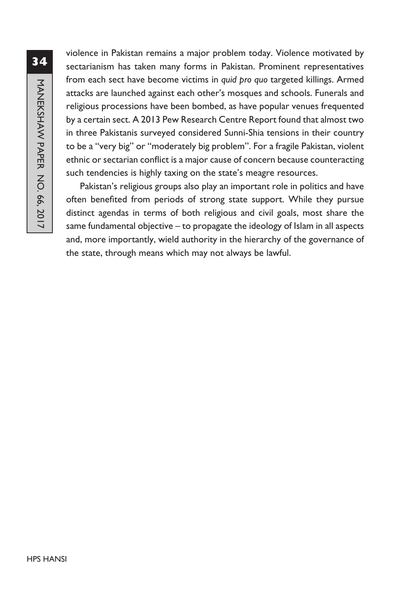violence in Pakistan remains a major problem today. Violence motivated by sectarianism has taken many forms in Pakistan. Prominent representatives from each sect have become victims in *quid pro quo* targeted killings. Armed attacks are launched against each other's mosques and schools. Funerals and religious processions have been bombed, as have popular venues frequented by a certain sect. A 2013 Pew Research Centre Report found that almost two in three Pakistanis surveyed considered Sunni-Shia tensions in their country to be a "very big" or "moderately big problem". For a fragile Pakistan, violent ethnic or sectarian conflict is a major cause of concern because counteracting such tendencies is highly taxing on the state's meagre resources.

Pakistan's religious groups also play an important role in politics and have often benefited from periods of strong state support. While they pursue distinct agendas in terms of both religious and civil goals, most share the same fundamental objective – to propagate the ideology of Islam in all aspects and, more importantly, wield authority in the hierarchy of the governance of the state, through means which may not always be lawful.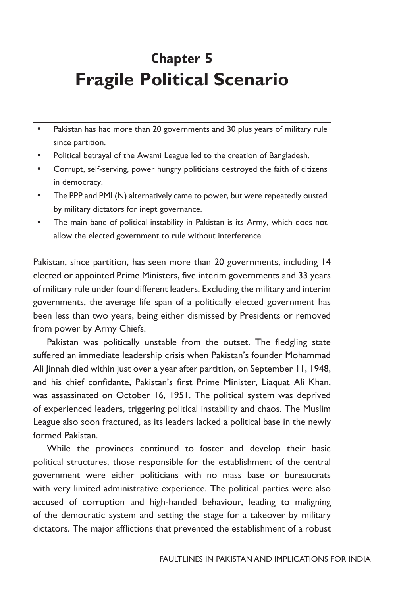# **Chapter 5 Fragile Political Scenario**

- Pakistan has had more than 20 governments and 30 plus years of military rule since partition.
- Political betrayal of the Awami League led to the creation of Bangladesh.
- Corrupt, self-serving, power hungry politicians destroyed the faith of citizens in democracy.
- The PPP and PML(N) alternatively came to power, but were repeatedly ousted by military dictators for inept governance.
- The main bane of political instability in Pakistan is its Army, which does not allow the elected government to rule without interference.

Pakistan, since partition, has seen more than 20 governments, including 14 elected or appointed Prime Ministers, five interim governments and 33 years of military rule under four different leaders. Excluding the military and interim governments, the average life span of a politically elected government has been less than two years, being either dismissed by Presidents or removed from power by Army Chiefs.

Pakistan was politically unstable from the outset. The fledgling state suffered an immediate leadership crisis when Pakistan's founder Mohammad Ali Jinnah died within just over a year after partition, on September 11, 1948, and his chief confidante, Pakistan's first Prime Minister, Liaquat Ali Khan, was assassinated on October 16, 1951. The political system was deprived of experienced leaders, triggering political instability and chaos. The Muslim League also soon fractured, as its leaders lacked a political base in the newly formed Pakistan.

While the provinces continued to foster and develop their basic political structures, those responsible for the establishment of the central government were either politicians with no mass base or bureaucrats with very limited administrative experience. The political parties were also accused of corruption and high-handed behaviour, leading to maligning of the democratic system and setting the stage for a takeover by military dictators. The major afflictions that prevented the establishment of a robust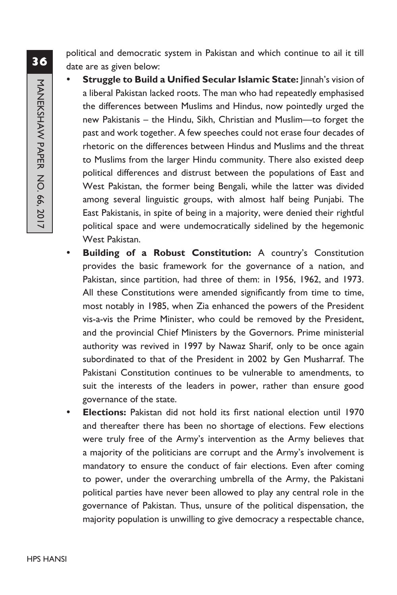political and democratic system in Pakistan and which continue to ail it till date are as given below:

- **Struggle to Build a Unified Secular Islamic State:** linnah's vision of a liberal Pakistan lacked roots. The man who had repeatedly emphasised the differences between Muslims and Hindus, now pointedly urged the new Pakistanis – the Hindu, Sikh, Christian and Muslim—to forget the past and work together. A few speeches could not erase four decades of rhetoric on the differences between Hindus and Muslims and the threat to Muslims from the larger Hindu community. There also existed deep political differences and distrust between the populations of East and West Pakistan, the former being Bengali, while the latter was divided among several linguistic groups, with almost half being Punjabi. The East Pakistanis, in spite of being in a majority, were denied their rightful political space and were undemocratically sidelined by the hegemonic West Pakistan.
- Building of a Robust Constitution: A country's Constitution provides the basic framework for the governance of a nation, and Pakistan, since partition, had three of them: in 1956, 1962, and 1973. All these Constitutions were amended significantly from time to time, most notably in 1985, when Zia enhanced the powers of the President vis-a-vis the Prime Minister, who could be removed by the President, and the provincial Chief Ministers by the Governors. Prime ministerial authority was revived in 1997 by Nawaz Sharif, only to be once again subordinated to that of the President in 2002 by Gen Musharraf. The Pakistani Constitution continues to be vulnerable to amendments, to suit the interests of the leaders in power, rather than ensure good governance of the state.
- y **Elections:** Pakistan did not hold its first national election until 1970 and thereafter there has been no shortage of elections. Few elections were truly free of the Army's intervention as the Army believes that a majority of the politicians are corrupt and the Army's involvement is mandatory to ensure the conduct of fair elections. Even after coming to power, under the overarching umbrella of the Army, the Pakistani political parties have never been allowed to play any central role in the governance of Pakistan. Thus, unsure of the political dispensation, the majority population is unwilling to give democracy a respectable chance,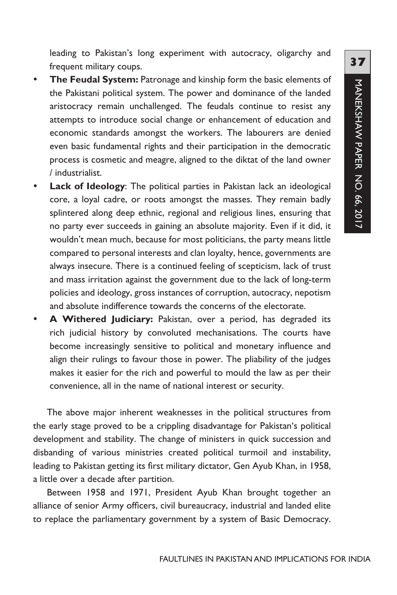leading to Pakistan's long experiment with autocracy, oligarchy and frequent military coups.

- **The Feudal System:** Patronage and kinship form the basic elements of the Pakistani political system. The power and dominance of the landed aristocracy remain unchallenged. The feudals continue to resist any attempts to introduce social change or enhancement of education and economic standards amongst the workers. The labourers are denied even basic fundamental rights and their participation in the democratic process is cosmetic and meagre, aligned to the diktat of the land owner / industrialist.
- Lack of Ideology: The political parties in Pakistan lack an ideological core, a loyal cadre, or roots amongst the masses. They remain badly splintered along deep ethnic, regional and religious lines, ensuring that no party ever succeeds in gaining an absolute majority. Even if it did, it wouldn't mean much, because for most politicians, the party means little compared to personal interests and clan loyalty, hence, governments are always insecure. There is a continued feeling of scepticism, lack of trust and mass irritation against the government due to the lack of long-term policies and ideology, gross instances of corruption, autocracy, nepotism and absolute indifference towards the concerns of the electorate.
- A Withered Judiciary: Pakistan, over a period, has degraded its rich judicial history by convoluted mechanisations. The courts have become increasingly sensitive to political and monetary influence and align their rulings to favour those in power. The pliability of the judges makes it easier for the rich and powerful to mould the law as per their convenience, all in the name of national interest or security.

The above major inherent weaknesses in the political structures from the early stage proved to be a crippling disadvantage for Pakistan's political development and stability. The change of ministers in quick succession and disbanding of various ministries created political turmoil and instability, leading to Pakistan getting its first military dictator, Gen Ayub Khan, in 1958, a little over a decade after partition.

Between 1958 and 1971, President Ayub Khan brought together an alliance of senior Army officers, civil bureaucracy, industrial and landed elite to replace the parliamentary government by a system of Basic Democracy.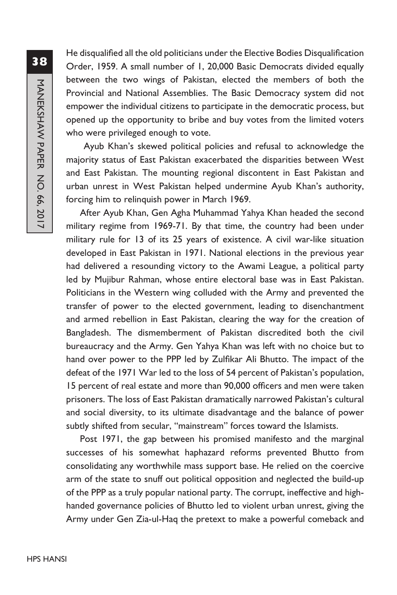He disqualified all the old politicians under the Elective Bodies Disqualification Order, 1959. A small number of 1, 20,000 Basic Democrats divided equally between the two wings of Pakistan, elected the members of both the Provincial and National Assemblies. The Basic Democracy system did not empower the individual citizens to participate in the democratic process, but opened up the opportunity to bribe and buy votes from the limited voters who were privileged enough to vote.

 Ayub Khan's skewed political policies and refusal to acknowledge the majority status of East Pakistan exacerbated the disparities between West and East Pakistan. The mounting regional discontent in East Pakistan and urban unrest in West Pakistan helped undermine Ayub Khan's authority, forcing him to relinquish power in March 1969.

After Ayub Khan, Gen Agha Muhammad Yahya Khan headed the second military regime from 1969-71. By that time, the country had been under military rule for 13 of its 25 years of existence. A civil war-like situation developed in East Pakistan in 1971. National elections in the previous year had delivered a resounding victory to the Awami League, a political party led by Mujibur Rahman, whose entire electoral base was in East Pakistan. Politicians in the Western wing colluded with the Army and prevented the transfer of power to the elected government, leading to disenchantment and armed rebellion in East Pakistan, clearing the way for the creation of Bangladesh. The dismemberment of Pakistan discredited both the civil bureaucracy and the Army. Gen Yahya Khan was left with no choice but to hand over power to the PPP led by Zulfikar Ali Bhutto. The impact of the defeat of the 1971 War led to the loss of 54 percent of Pakistan's population, 15 percent of real estate and more than 90,000 officers and men were taken prisoners. The loss of East Pakistan dramatically narrowed Pakistan's cultural and social diversity, to its ultimate disadvantage and the balance of power subtly shifted from secular, "mainstream" forces toward the Islamists.

Post 1971, the gap between his promised manifesto and the marginal successes of his somewhat haphazard reforms prevented Bhutto from consolidating any worthwhile mass support base. He relied on the coercive arm of the state to snuff out political opposition and neglected the build-up of the PPP as a truly popular national party. The corrupt, ineffective and highhanded governance policies of Bhutto led to violent urban unrest, giving the Army under Gen Zia-ul-Haq the pretext to make a powerful comeback and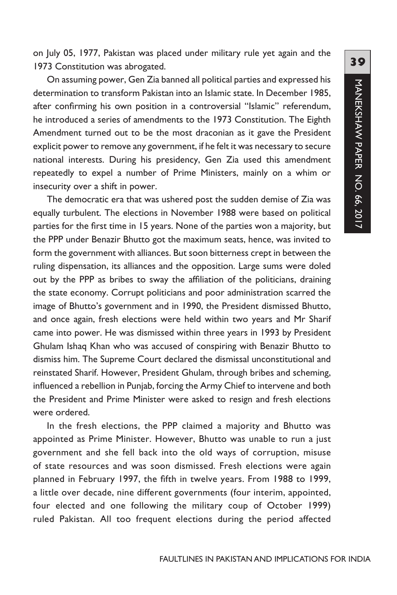on July 05, 1977, Pakistan was placed under military rule yet again and the 1973 Constitution was abrogated.

On assuming power, Gen Zia banned all political parties and expressed his determination to transform Pakistan into an Islamic state. In December 1985, after confirming his own position in a controversial "Islamic" referendum, he introduced a series of amendments to the 1973 Constitution. The Eighth Amendment turned out to be the most draconian as it gave the President explicit power to remove any government, if he felt it was necessary to secure national interests. During his presidency, Gen Zia used this amendment repeatedly to expel a number of Prime Ministers, mainly on a whim or insecurity over a shift in power.

The democratic era that was ushered post the sudden demise of Zia was equally turbulent. The elections in November 1988 were based on political parties for the first time in 15 years. None of the parties won a majority, but the PPP under Benazir Bhutto got the maximum seats, hence, was invited to form the government with alliances. But soon bitterness crept in between the ruling dispensation, its alliances and the opposition. Large sums were doled out by the PPP as bribes to sway the affiliation of the politicians, draining the state economy. Corrupt politicians and poor administration scarred the image of Bhutto's government and in 1990, the President dismissed Bhutto, and once again, fresh elections were held within two years and Mr Sharif came into power. He was dismissed within three years in 1993 by President Ghulam Ishaq Khan who was accused of conspiring with Benazir Bhutto to dismiss him. The Supreme Court declared the dismissal unconstitutional and reinstated Sharif. However, President Ghulam, through bribes and scheming, influenced a rebellion in Punjab, forcing the Army Chief to intervene and both the President and Prime Minister were asked to resign and fresh elections were ordered.

In the fresh elections, the PPP claimed a majority and Bhutto was appointed as Prime Minister. However, Bhutto was unable to run a just government and she fell back into the old ways of corruption, misuse of state resources and was soon dismissed. Fresh elections were again planned in February 1997, the fifth in twelve years. From 1988 to 1999, a little over decade, nine different governments (four interim, appointed, four elected and one following the military coup of October 1999) ruled Pakistan. All too frequent elections during the period affected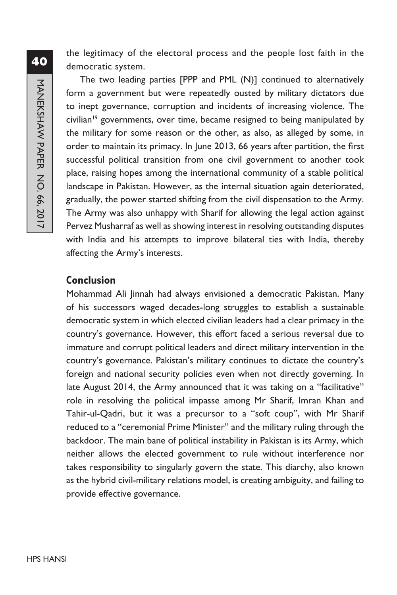the legitimacy of the electoral process and the people lost faith in the democratic system.

The two leading parties [PPP and PML (N)] continued to alternatively form a government but were repeatedly ousted by military dictators due to inept governance, corruption and incidents of increasing violence. The civilian<sup>19</sup> governments, over time, became resigned to being manipulated by the military for some reason or the other, as also, as alleged by some, in order to maintain its primacy. In June 2013, 66 years after partition, the first successful political transition from one civil government to another took place, raising hopes among the international community of a stable political landscape in Pakistan. However, as the internal situation again deteriorated, gradually, the power started shifting from the civil dispensation to the Army. The Army was also unhappy with Sharif for allowing the legal action against Pervez Musharraf as well as showing interest in resolving outstanding disputes with India and his attempts to improve bilateral ties with India, thereby affecting the Army's interests.

#### **Conclusion**

Mohammad Ali Jinnah had always envisioned a democratic Pakistan. Many of his successors waged decades-long struggles to establish a sustainable democratic system in which elected civilian leaders had a clear primacy in the country's governance. However, this effort faced a serious reversal due to immature and corrupt political leaders and direct military intervention in the country's governance. Pakistan's military continues to dictate the country's foreign and national security policies even when not directly governing. In late August 2014, the Army announced that it was taking on a "facilitative" role in resolving the political impasse among Mr Sharif, Imran Khan and Tahir-ul-Qadri, but it was a precursor to a "soft coup", with Mr Sharif reduced to a "ceremonial Prime Minister" and the military ruling through the backdoor. The main bane of political instability in Pakistan is its Army, which neither allows the elected government to rule without interference nor takes responsibility to singularly govern the state. This diarchy, also known as the hybrid civil-military relations model, is creating ambiguity, and failing to provide effective governance.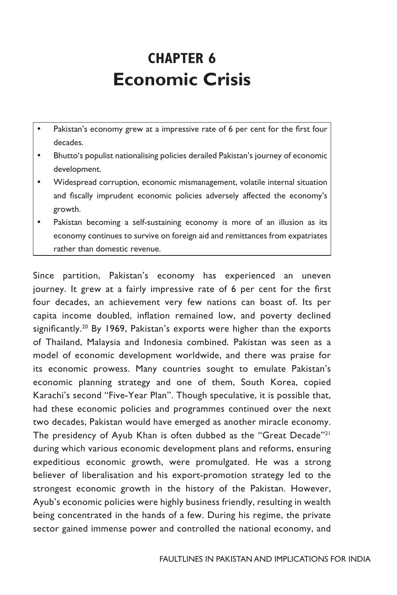# **CHAPTER 6 Economic Crisis**

- Pakistan's economy grew at a impressive rate of 6 per cent for the first four decades.
- Bhutto's populist nationalising policies derailed Pakistan's journey of economic development.
- Widespread corruption, economic mismanagement, volatile internal situation and fiscally imprudent economic policies adversely affected the economy's growth.
- Pakistan becoming a self-sustaining economy is more of an illusion as its economy continues to survive on foreign aid and remittances from expatriates rather than domestic revenue.

Since partition, Pakistan's economy has experienced an uneven journey. It grew at a fairly impressive rate of 6 per cent for the first four decades, an achievement very few nations can boast of. Its per capita income doubled, inflation remained low, and poverty declined significantly.<sup>20</sup> By 1969, Pakistan's exports were higher than the exports of Thailand, Malaysia and Indonesia combined. Pakistan was seen as a model of economic development worldwide, and there was praise for its economic prowess. Many countries sought to emulate Pakistan's economic planning strategy and one of them, South Korea, copied Karachi's second "Five-Year Plan". Though speculative, it is possible that, had these economic policies and programmes continued over the next two decades, Pakistan would have emerged as another miracle economy. The presidency of Ayub Khan is often dubbed as the "Great Decade"<sup>21</sup> during which various economic development plans and reforms, ensuring expeditious economic growth, were promulgated. He was a strong believer of liberalisation and his export-promotion strategy led to the strongest economic growth in the history of the Pakistan. However, Ayub's economic policies were highly business friendly, resulting in wealth being concentrated in the hands of a few. During his regime, the private sector gained immense power and controlled the national economy, and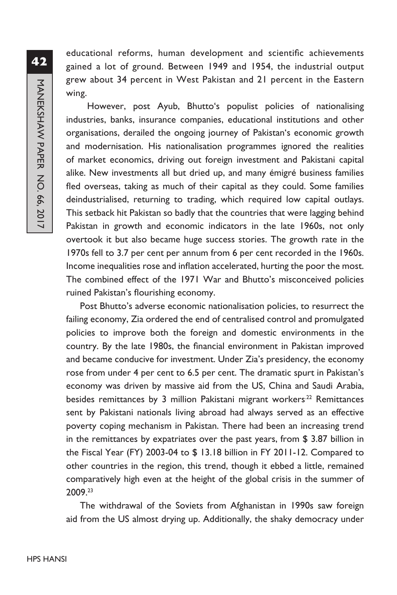educational reforms, human development and scientific achievements gained a lot of ground. Between 1949 and 1954, the industrial output grew about 34 percent in West Pakistan and 21 percent in the Eastern wing.

 However, post Ayub, Bhutto's populist policies of nationalising industries, banks, insurance companies, educational institutions and other organisations, derailed the ongoing journey of Pakistan's economic growth and modernisation. His nationalisation programmes ignored the realities of market economics, driving out foreign investment and Pakistani capital alike. New investments all but dried up, and many émigré business families fled overseas, taking as much of their capital as they could. Some families deindustrialised, returning to trading, which required low capital outlays. This setback hit Pakistan so badly that the countries that were lagging behind Pakistan in growth and economic indicators in the late 1960s, not only overtook it but also became huge success stories. The growth rate in the 1970s fell to 3.7 per cent per annum from 6 per cent recorded in the 1960s. Income inequalities rose and inflation accelerated, hurting the poor the most. The combined effect of the 1971 War and Bhutto's misconceived policies ruined Pakistan's flourishing economy.

Post Bhutto's adverse economic nationalisation policies, to resurrect the failing economy, Zia ordered the end of centralised control and promulgated policies to improve both the foreign and domestic environments in the country. By the late 1980s, the financial environment in Pakistan improved and became conducive for investment. Under Zia's presidency, the economy rose from under 4 per cent to 6.5 per cent. The dramatic spurt in Pakistan's economy was driven by massive aid from the US, China and Saudi Arabia, besides remittances by 3 million Pakistani migrant workers<sup>22</sup> Remittances sent by Pakistani nationals living abroad had always served as an effective poverty coping mechanism in Pakistan. There had been an increasing trend in the remittances by expatriates over the past years, from \$ 3.87 billion in the Fiscal Year (FY) 2003-04 to \$ 13.18 billion in FY 2011-12. Compared to other countries in the region, this trend, though it ebbed a little, remained comparatively high even at the height of the global crisis in the summer of 2009.23

The withdrawal of the Soviets from Afghanistan in 1990s saw foreign aid from the US almost drying up. Additionally, the shaky democracy under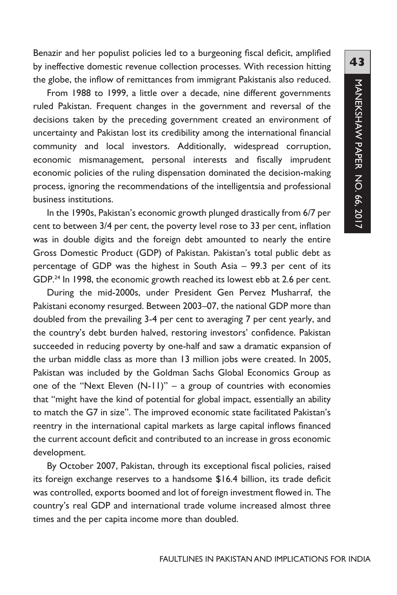Benazir and her populist policies led to a burgeoning fiscal deficit, amplified by ineffective domestic revenue collection processes. With recession hitting the globe, the inflow of remittances from immigrant Pakistanis also reduced.

From 1988 to 1999, a little over a decade, nine different governments ruled Pakistan. Frequent changes in the government and reversal of the decisions taken by the preceding government created an environment of uncertainty and Pakistan lost its credibility among the international financial community and local investors. Additionally, widespread corruption, economic mismanagement, personal interests and fiscally imprudent economic policies of the ruling dispensation dominated the decision-making process, ignoring the recommendations of the intelligentsia and professional business institutions.

In the 1990s, Pakistan's economic growth plunged drastically from 6/7 per cent to between 3/4 per cent, the poverty level rose to 33 per cent, inflation was in double digits and the foreign debt amounted to nearly the entire Gross Domestic Product (GDP) of Pakistan. Pakistan's total public debt as percentage of GDP was the highest in South Asia – 99.3 per cent of its GDP.<sup>24</sup> In 1998, the economic growth reached its lowest ebb at 2.6 per cent.

During the mid-2000s, under President Gen Pervez Musharraf, the Pakistani economy resurged. Between 2003–07, the national GDP more than doubled from the prevailing 3-4 per cent to averaging 7 per cent yearly, and the country's debt burden halved, restoring investors' confidence. Pakistan succeeded in reducing poverty by one-half and saw a dramatic expansion of the urban middle class as more than 13 million jobs were created. In 2005, Pakistan was included by the Goldman Sachs Global Economics Group as one of the "Next Eleven  $(N-1)$ " – a group of countries with economies that "might have the kind of potential for global impact, essentially an ability to match the G7 in size". The improved economic state facilitated Pakistan's reentry in the international capital markets as large capital inflows financed the current account deficit and contributed to an increase in gross economic development.

By October 2007, Pakistan, through its exceptional fiscal policies, raised its foreign exchange reserves to a handsome \$16.4 billion, its trade deficit was controlled, exports boomed and lot of foreign investment flowed in. The country's real GDP and international trade volume increased almost three times and the per capita income more than doubled.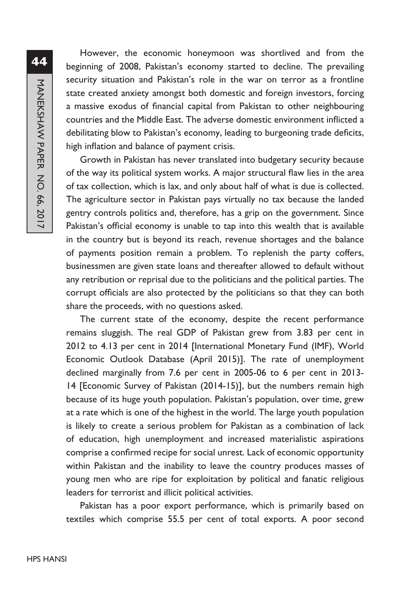**44**MANEKSHAW PAPER NO. 66, 2017 MANEKSHAW PAPER NO. 66, 2017

However, the economic honeymoon was shortlived and from the beginning of 2008, Pakistan's economy started to decline. The prevailing security situation and Pakistan's role in the war on terror as a frontline state created anxiety amongst both domestic and foreign investors, forcing a massive exodus of financial capital from Pakistan to other neighbouring countries and the Middle East. The adverse domestic environment inflicted a debilitating blow to Pakistan's economy, leading to burgeoning trade deficits, high inflation and balance of payment crisis.

Growth in Pakistan has never translated into budgetary security because of the way its political system works. A major structural flaw lies in the area of tax collection, which is lax, and only about half of what is due is collected. The agriculture sector in Pakistan pays virtually no tax because the landed gentry controls politics and, therefore, has a grip on the government. Since Pakistan's official economy is unable to tap into this wealth that is available in the country but is beyond its reach, revenue shortages and the balance of payments position remain a problem. To replenish the party coffers, businessmen are given state loans and thereafter allowed to default without any retribution or reprisal due to the politicians and the political parties. The corrupt officials are also protected by the politicians so that they can both share the proceeds, with no questions asked.

The current state of the economy, despite the recent performance remains sluggish. The real GDP of Pakistan grew from 3.83 per cent in 2012 to 4.13 per cent in 2014 [International Monetary Fund (IMF), World Economic Outlook Database (April 2015)]. The rate of unemployment declined marginally from 7.6 per cent in 2005-06 to 6 per cent in 2013- 14 [Economic Survey of Pakistan (2014-15)], but the numbers remain high because of its huge youth population. Pakistan's population, over time, grew at a rate which is one of the highest in the world. The large youth population is likely to create a serious problem for Pakistan as a combination of lack of education, high unemployment and increased materialistic aspirations comprise a confirmed recipe for social unrest. Lack of economic opportunity within Pakistan and the inability to leave the country produces masses of young men who are ripe for exploitation by political and fanatic religious leaders for terrorist and illicit political activities.

Pakistan has a poor export performance, which is primarily based on textiles which comprise 55.5 per cent of total exports. A poor second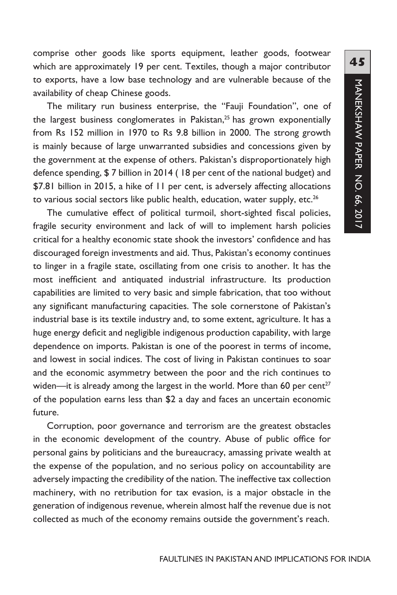comprise other goods like sports equipment, leather goods, footwear which are approximately 19 per cent. Textiles, though a major contributor to exports, have a low base technology and are vulnerable because of the availability of cheap Chinese goods.

The military run business enterprise, the "Fauji Foundation", one of the largest business conglomerates in Pakistan,<sup>25</sup> has grown exponentially from Rs 152 million in 1970 to Rs 9.8 billion in 2000. The strong growth is mainly because of large unwarranted subsidies and concessions given by the government at the expense of others. Pakistan's disproportionately high defence spending, \$ 7 billion in 2014 ( 18 per cent of the national budget) and \$7.81 billion in 2015, a hike of 11 per cent, is adversely affecting allocations to various social sectors like public health, education, water supply, etc.<sup>26</sup>

The cumulative effect of political turmoil, short-sighted fiscal policies, fragile security environment and lack of will to implement harsh policies critical for a healthy economic state shook the investors' confidence and has discouraged foreign investments and aid. Thus, Pakistan's economy continues to linger in a fragile state, oscillating from one crisis to another. It has the most inefficient and antiquated industrial infrastructure. Its production capabilities are limited to very basic and simple fabrication, that too without any significant manufacturing capacities. The sole cornerstone of Pakistan's industrial base is its textile industry and, to some extent, agriculture. It has a huge energy deficit and negligible indigenous production capability, with large dependence on imports. Pakistan is one of the poorest in terms of income, and lowest in social indices. The cost of living in Pakistan continues to soar and the economic asymmetry between the poor and the rich continues to widen—it is already among the largest in the world. More than 60 per cent<sup>27</sup> of the population earns less than \$2 a day and faces an uncertain economic future.

Corruption, poor governance and terrorism are the greatest obstacles in the economic development of the country. Abuse of public office for personal gains by politicians and the bureaucracy, amassing private wealth at the expense of the population, and no serious policy on accountability are adversely impacting the credibility of the nation. The ineffective tax collection machinery, with no retribution for tax evasion, is a major obstacle in the generation of indigenous revenue, wherein almost half the revenue due is not collected as much of the economy remains outside the government's reach.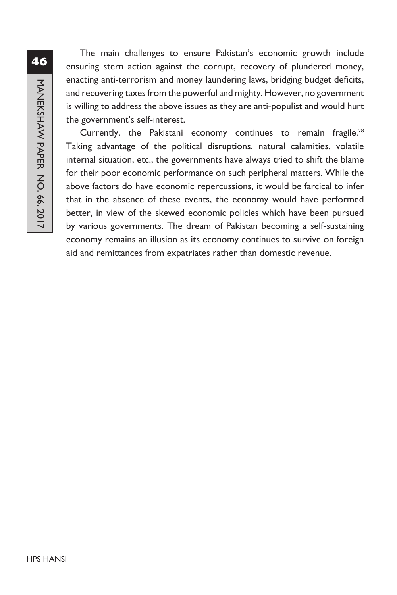The main challenges to ensure Pakistan's economic growth include ensuring stern action against the corrupt, recovery of plundered money, enacting anti-terrorism and money laundering laws, bridging budget deficits, and recovering taxes from the powerful and mighty. However, no government is willing to address the above issues as they are anti-populist and would hurt the government's self-interest.

Currently, the Pakistani economy continues to remain fragile.<sup>28</sup> Taking advantage of the political disruptions, natural calamities, volatile internal situation, etc., the governments have always tried to shift the blame for their poor economic performance on such peripheral matters. While the above factors do have economic repercussions, it would be farcical to infer that in the absence of these events, the economy would have performed better, in view of the skewed economic policies which have been pursued by various governments. The dream of Pakistan becoming a self-sustaining economy remains an illusion as its economy continues to survive on foreign aid and remittances from expatriates rather than domestic revenue.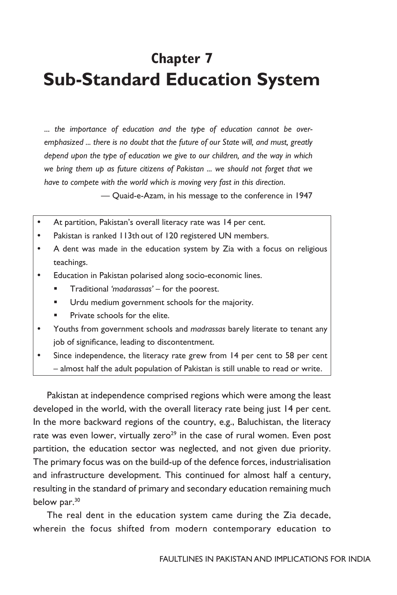## **Chapter 7 Sub-Standard Education System**

... *the importance of education and the type of education cannot be overemphasized ... there is no doubt that the future of our State will, and must, greatly depend upon the type of education we give to our children, and the way in which we bring them up as future citizens of Pakistan ... we should not forget that we have to compete with the world which is moving very fast in this direction*.

— Quaid-e-Azam, in his message to the conference in 1947

- At partition, Pakistan's overall literacy rate was 14 per cent.
- Pakistan is ranked 113th out of 120 registered UN members.
- A dent was made in the education system by Zia with a focus on religious teachings.
- Education in Pakistan polarised along socio-economic lines.
	- Traditional *'madarassas'* for the poorest.
	- Urdu medium government schools for the majority.
	- Private schools for the elite.
- y Youths from government schools and *madrassas* barely literate to tenant any job of significance, leading to discontentment.
- Since independence, the literacy rate grew from 14 per cent to 58 per cent – almost half the adult population of Pakistan is still unable to read or write.

Pakistan at independence comprised regions which were among the least developed in the world, with the overall literacy rate being just 14 per cent. In the more backward regions of the country, e.g., Baluchistan, the literacy rate was even lower, virtually zero<sup>29</sup> in the case of rural women. Even post partition, the education sector was neglected, and not given due priority. The primary focus was on the build-up of the defence forces, industrialisation and infrastructure development. This continued for almost half a century, resulting in the standard of primary and secondary education remaining much below par.<sup>30</sup>

The real dent in the education system came during the Zia decade, wherein the focus shifted from modern contemporary education to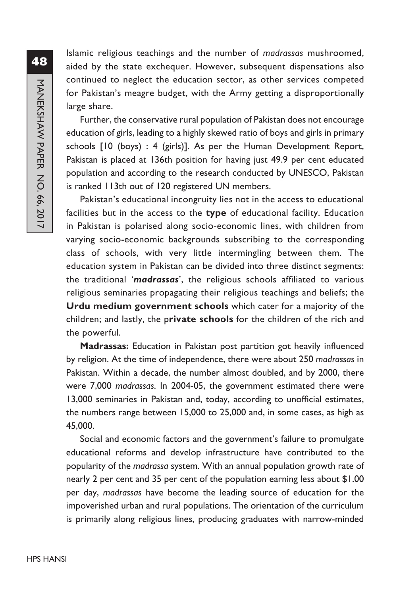Islamic religious teachings and the number of *madrassas* mushroomed, aided by the state exchequer. However, subsequent dispensations also continued to neglect the education sector, as other services competed for Pakistan's meagre budget, with the Army getting a disproportionally large share.

Further, the conservative rural population of Pakistan does not encourage education of girls, leading to a highly skewed ratio of boys and girls in primary schools [10 (boys) : 4 (girls)]. As per the Human Development Report, Pakistan is placed at 136th position for having just 49.9 per cent educated population and according to the research conducted by UNESCO, Pakistan is ranked 113th out of 120 registered UN members.

Pakistan's educational incongruity lies not in the access to educational facilities but in the access to the **type** of educational facility. Education in Pakistan is polarised along socio-economic lines, with children from varying socio-economic backgrounds subscribing to the corresponding class of schools, with very little intermingling between them. The education system in Pakistan can be divided into three distinct segments: the traditional '*madrassas*', the religious schools affiliated to various religious seminaries propagating their religious teachings and beliefs; the **Urdu medium government schools** which cater for a majority of the children; and lastly, the p**rivate schools** for the children of the rich and the powerful.

**Madrassas:** Education in Pakistan post partition got heavily influenced by religion. At the time of independence, there were about 250 *madrassas* in Pakistan. Within a decade, the number almost doubled, and by 2000, there were 7,000 *madrassas*. In 2004-05, the government estimated there were 13,000 seminaries in Pakistan and, today, according to unofficial estimates, the numbers range between 15,000 to 25,000 and, in some cases, as high as 45,000.

Social and economic factors and the government's failure to promulgate educational reforms and develop infrastructure have contributed to the popularity of the *madrassa* system. With an annual population growth rate of nearly 2 per cent and 35 per cent of the population earning less about \$1.00 per day, *madrassas* have become the leading source of education for the impoverished urban and rural populations. The orientation of the curriculum is primarily along religious lines, producing graduates with narrow-minded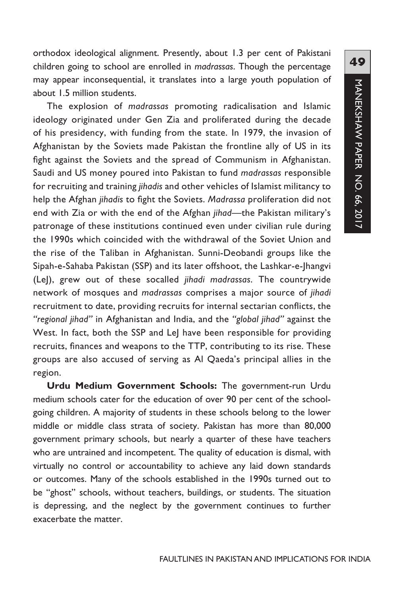orthodox ideological alignment. Presently, about 1.3 per cent of Pakistani children going to school are enrolled in *madrassas*. Though the percentage may appear inconsequential, it translates into a large youth population of about 1.5 million students.

The explosion of *madrassas* promoting radicalisation and Islamic ideology originated under Gen Zia and proliferated during the decade of his presidency, with funding from the state. In 1979, the invasion of Afghanistan by the Soviets made Pakistan the frontline ally of US in its fight against the Soviets and the spread of Communism in Afghanistan. Saudi and US money poured into Pakistan to fund *madrassas* responsible for recruiting and training *jihadis* and other vehicles of Islamist militancy to help the Afghan *jihadis* to fight the Soviets. *Madrassa* proliferation did not end with Zia or with the end of the Afghan *jihad*—the Pakistan military's patronage of these institutions continued even under civilian rule during the 1990s which coincided with the withdrawal of the Soviet Union and the rise of the Taliban in Afghanistan. Sunni-Deobandi groups like the Sipah-e-Sahaba Pakistan (SSP) and its later offshoot, the Lashkar-e-Jhangvi (LeJ), grew out of these socalled *jihadi madrassas*. The countrywide network of mosques and *madrassas* comprises a major source of *jihadi* recruitment to date, providing recruits for internal sectarian conflicts, the *"regional jihad"* in Afghanistan and India, and the *"global jihad"* against the West. In fact, both the SSP and LeJ have been responsible for providing recruits, finances and weapons to the TTP, contributing to its rise. These groups are also accused of serving as Al Qaeda's principal allies in the region.

**Urdu Medium Government Schools:** The government-run Urdu medium schools cater for the education of over 90 per cent of the schoolgoing children. A majority of students in these schools belong to the lower middle or middle class strata of society. Pakistan has more than 80,000 government primary schools, but nearly a quarter of these have teachers who are untrained and incompetent. The quality of education is dismal, with virtually no control or accountability to achieve any laid down standards or outcomes. Many of the schools established in the 1990s turned out to be "ghost" schools, without teachers, buildings, or students. The situation is depressing, and the neglect by the government continues to further exacerbate the matter.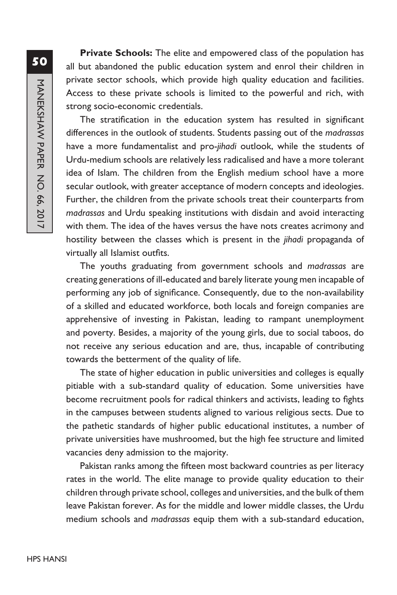**50**MANEKSHAW PAPER NO. 66, 2017 MANEKSHAW PAPER NO. 66, 2017

**Private Schools:** The elite and empowered class of the population has all but abandoned the public education system and enrol their children in private sector schools, which provide high quality education and facilities. Access to these private schools is limited to the powerful and rich, with strong socio-economic credentials.

The stratification in the education system has resulted in significant differences in the outlook of students. Students passing out of the *madrassas* have a more fundamentalist and pro-*jihadi* outlook, while the students of Urdu-medium schools are relatively less radicalised and have a more tolerant idea of Islam. The children from the English medium school have a more secular outlook, with greater acceptance of modern concepts and ideologies. Further, the children from the private schools treat their counterparts from *madrassas* and Urdu speaking institutions with disdain and avoid interacting with them. The idea of the haves versus the have nots creates acrimony and hostility between the classes which is present in the *jihadi* propaganda of virtually all Islamist outfits.

The youths graduating from government schools and *madrassas* are creating generations of ill-educated and barely literate young men incapable of performing any job of significance. Consequently, due to the non-availability of a skilled and educated workforce, both locals and foreign companies are apprehensive of investing in Pakistan, leading to rampant unemployment and poverty. Besides, a majority of the young girls, due to social taboos, do not receive any serious education and are, thus, incapable of contributing towards the betterment of the quality of life.

The state of higher education in public universities and colleges is equally pitiable with a sub-standard quality of education. Some universities have become recruitment pools for radical thinkers and activists, leading to fights in the campuses between students aligned to various religious sects. Due to the pathetic standards of higher public educational institutes, a number of private universities have mushroomed, but the high fee structure and limited vacancies deny admission to the majority.

Pakistan ranks among the fifteen most backward countries as per literacy rates in the world. The elite manage to provide quality education to their children through private school, colleges and universities, and the bulk of them leave Pakistan forever. As for the middle and lower middle classes, the Urdu medium schools and *madrassas* equip them with a sub-standard education,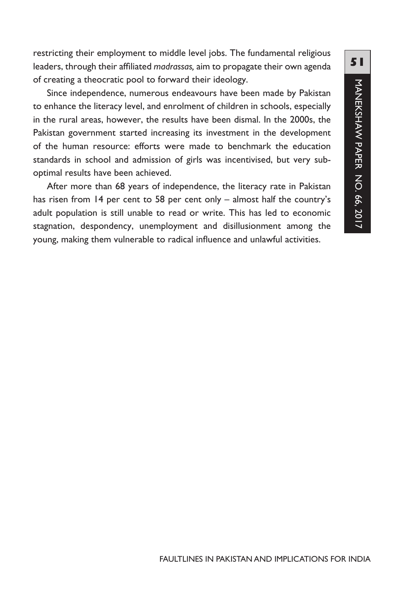restricting their employment to middle level jobs. The fundamental religious leaders, through their affiliated *madrassas,* aim to propagate their own agenda of creating a theocratic pool to forward their ideology.

Since independence, numerous endeavours have been made by Pakistan to enhance the literacy level, and enrolment of children in schools, especially in the rural areas, however, the results have been dismal. In the 2000s, the Pakistan government started increasing its investment in the development of the human resource: efforts were made to benchmark the education standards in school and admission of girls was incentivised, but very suboptimal results have been achieved.

After more than 68 years of independence, the literacy rate in Pakistan has risen from 14 per cent to 58 per cent only – almost half the country's adult population is still unable to read or write. This has led to economic stagnation, despondency, unemployment and disillusionment among the young, making them vulnerable to radical influence and unlawful activities.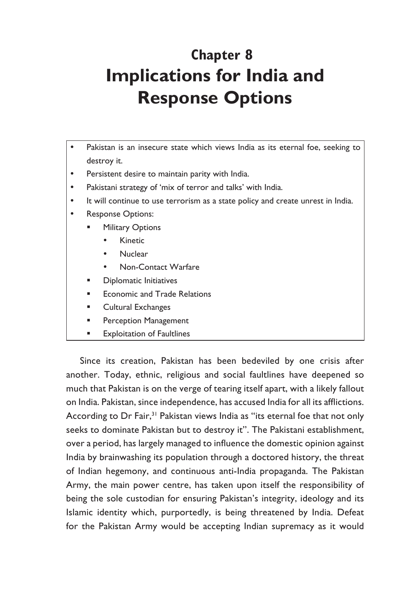# **Chapter 8 Implications for India and Response Options**

- Pakistan is an insecure state which views India as its eternal foe, seeking to destroy it.
- Persistent desire to maintain parity with India.
- Pakistani strategy of 'mix of terror and talks' with India.
- It will continue to use terrorism as a state policy and create unrest in India.
- Response Options:
	- Military Options
		- Kinetic
		- Nuclear
		- Non-Contact Warfare
	- Diplomatic Initiatives
	- Economic and Trade Relations
	- Cultural Exchanges
	- Perception Management
	- Exploitation of Faultlines

Since its creation, Pakistan has been bedeviled by one crisis after another. Today, ethnic, religious and social faultlines have deepened so much that Pakistan is on the verge of tearing itself apart, with a likely fallout on India. Pakistan, since independence, has accused India for all its afflictions. According to Dr Fair,<sup>31</sup> Pakistan views India as "its eternal foe that not only seeks to dominate Pakistan but to destroy it". The Pakistani establishment, over a period, has largely managed to influence the domestic opinion against India by brainwashing its population through a doctored history, the threat of Indian hegemony, and continuous anti-India propaganda. The Pakistan Army, the main power centre, has taken upon itself the responsibility of being the sole custodian for ensuring Pakistan's integrity, ideology and its Islamic identity which, purportedly, is being threatened by India. Defeat for the Pakistan Army would be accepting Indian supremacy as it would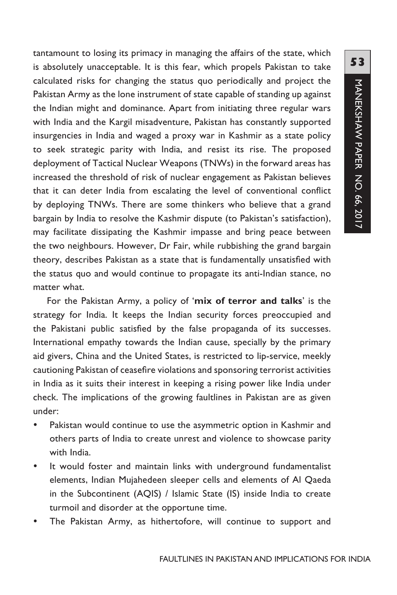tantamount to losing its primacy in managing the affairs of the state, which is absolutely unacceptable. It is this fear, which propels Pakistan to take calculated risks for changing the status quo periodically and project the Pakistan Army as the lone instrument of state capable of standing up against the Indian might and dominance. Apart from initiating three regular wars with India and the Kargil misadventure, Pakistan has constantly supported insurgencies in India and waged a proxy war in Kashmir as a state policy to seek strategic parity with India, and resist its rise. The proposed deployment of Tactical Nuclear Weapons (TNWs) in the forward areas has increased the threshold of risk of nuclear engagement as Pakistan believes that it can deter India from escalating the level of conventional conflict by deploying TNWs. There are some thinkers who believe that a grand bargain by India to resolve the Kashmir dispute (to Pakistan's satisfaction), may facilitate dissipating the Kashmir impasse and bring peace between the two neighbours. However, Dr Fair, while rubbishing the grand bargain theory, describes Pakistan as a state that is fundamentally unsatisfied with the status quo and would continue to propagate its anti-Indian stance, no matter what.

For the Pakistan Army, a policy of '**mix of terror and talks**' is the strategy for India. It keeps the Indian security forces preoccupied and the Pakistani public satisfied by the false propaganda of its successes. International empathy towards the Indian cause, specially by the primary aid givers, China and the United States, is restricted to lip-service, meekly cautioning Pakistan of ceasefire violations and sponsoring terrorist activities in India as it suits their interest in keeping a rising power like India under check. The implications of the growing faultlines in Pakistan are as given under:

- Pakistan would continue to use the asymmetric option in Kashmir and others parts of India to create unrest and violence to showcase parity with India.
- It would foster and maintain links with underground fundamentalist elements, Indian Mujahedeen sleeper cells and elements of Al Qaeda in the Subcontinent (AQIS) / Islamic State (IS) inside India to create turmoil and disorder at the opportune time.
- The Pakistan Army, as hithertofore, will continue to support and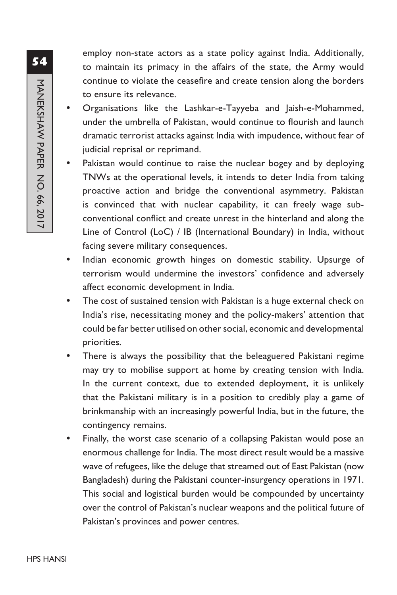employ non-state actors as a state policy against India. Additionally, to maintain its primacy in the affairs of the state, the Army would continue to violate the ceasefire and create tension along the borders to ensure its relevance.

- Organisations like the Lashkar-e-Tayyeba and Jaish-e-Mohammed, under the umbrella of Pakistan, would continue to flourish and launch dramatic terrorist attacks against India with impudence, without fear of judicial reprisal or reprimand.
- Pakistan would continue to raise the nuclear bogey and by deploying TNWs at the operational levels, it intends to deter India from taking proactive action and bridge the conventional asymmetry. Pakistan is convinced that with nuclear capability, it can freely wage subconventional conflict and create unrest in the hinterland and along the Line of Control (LoC) / IB (International Boundary) in India, without facing severe military consequences.
- Indian economic growth hinges on domestic stability. Upsurge of terrorism would undermine the investors' confidence and adversely affect economic development in India.
- The cost of sustained tension with Pakistan is a huge external check on India's rise, necessitating money and the policy-makers' attention that could be far better utilised on other social, economic and developmental priorities.
- There is always the possibility that the beleaguered Pakistani regime may try to mobilise support at home by creating tension with India. In the current context, due to extended deployment, it is unlikely that the Pakistani military is in a position to credibly play a game of brinkmanship with an increasingly powerful India, but in the future, the contingency remains.
- Finally, the worst case scenario of a collapsing Pakistan would pose an enormous challenge for India. The most direct result would be a massive wave of refugees, like the deluge that streamed out of East Pakistan (now Bangladesh) during the Pakistani counter-insurgency operations in 1971. This social and logistical burden would be compounded by uncertainty over the control of Pakistan's nuclear weapons and the political future of Pakistan's provinces and power centres.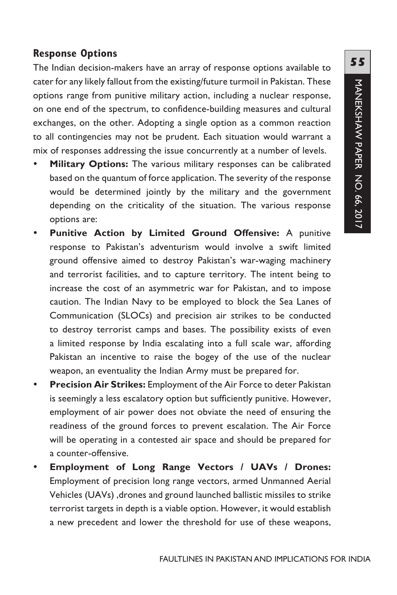### **Response Options**

The Indian decision-makers have an array of response options available to cater for any likely fallout from the existing/future turmoil in Pakistan. These options range from punitive military action, including a nuclear response, on one end of the spectrum, to confidence-building measures and cultural exchanges, on the other. Adopting a single option as a common reaction to all contingencies may not be prudent. Each situation would warrant a mix of responses addressing the issue concurrently at a number of levels.

- Military Options: The various military responses can be calibrated based on the quantum of force application. The severity of the response would be determined jointly by the military and the government depending on the criticality of the situation. The various response options are:
- **Punitive Action by Limited Ground Offensive:** A punitive response to Pakistan's adventurism would involve a swift limited ground offensive aimed to destroy Pakistan's war-waging machinery and terrorist facilities, and to capture territory. The intent being to increase the cost of an asymmetric war for Pakistan, and to impose caution. The Indian Navy to be employed to block the Sea Lanes of Communication (SLOCs) and precision air strikes to be conducted to destroy terrorist camps and bases. The possibility exists of even a limited response by India escalating into a full scale war, affording Pakistan an incentive to raise the bogey of the use of the nuclear weapon, an eventuality the Indian Army must be prepared for.
- **Precision Air Strikes:** Employment of the Air Force to deter Pakistan is seemingly a less escalatory option but sufficiently punitive. However, employment of air power does not obviate the need of ensuring the readiness of the ground forces to prevent escalation. The Air Force will be operating in a contested air space and should be prepared for a counter-offensive.
- y **Employment of Long Range Vectors / UAVs / Drones:** Employment of precision long range vectors, armed Unmanned Aerial Vehicles (UAVs) ,drones and ground launched ballistic missiles to strike terrorist targets in depth is a viable option. However, it would establish a new precedent and lower the threshold for use of these weapons,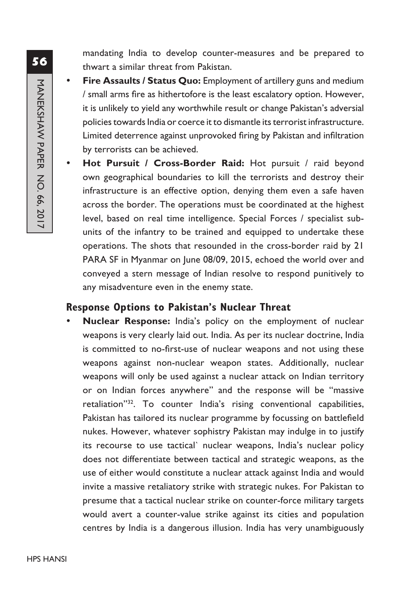mandating India to develop counter-measures and be prepared to thwart a similar threat from Pakistan.

- Fire Assaults / Status Quo: Employment of artillery guns and medium / small arms fire as hithertofore is the least escalatory option. However, it is unlikely to yield any worthwhile result or change Pakistan's adversial policies towards India or coerce it to dismantle its terrorist infrastructure. Limited deterrence against unprovoked firing by Pakistan and infiltration by terrorists can be achieved.
- Hot Pursuit / Cross-Border Raid: Hot pursuit / raid beyond own geographical boundaries to kill the terrorists and destroy their infrastructure is an effective option, denying them even a safe haven across the border. The operations must be coordinated at the highest level, based on real time intelligence. Special Forces / specialist subunits of the infantry to be trained and equipped to undertake these operations. The shots that resounded in the cross-border raid by 21 PARA SF in Myanmar on June 08/09, 2015, echoed the world over and conveyed a stern message of Indian resolve to respond punitively to any misadventure even in the enemy state.

#### **Response Options to Pakistan's Nuclear Threat**

Nuclear Response: India's policy on the employment of nuclear weapons is very clearly laid out. India. As per its nuclear doctrine, India is committed to no-first-use of nuclear weapons and not using these weapons against non-nuclear weapon states. Additionally, nuclear weapons will only be used against a nuclear attack on Indian territory or on Indian forces anywhere" and the response will be "massive retaliation"32. To counter India's rising conventional capabilities, Pakistan has tailored its nuclear programme by focussing on battlefield nukes. However, whatever sophistry Pakistan may indulge in to justify its recourse to use tactical` nuclear weapons, India's nuclear policy does not differentiate between tactical and strategic weapons, as the use of either would constitute a nuclear attack against India and would invite a massive retaliatory strike with strategic nukes. For Pakistan to presume that a tactical nuclear strike on counter-force military targets would avert a counter-value strike against its cities and population centres by India is a dangerous illusion. India has very unambiguously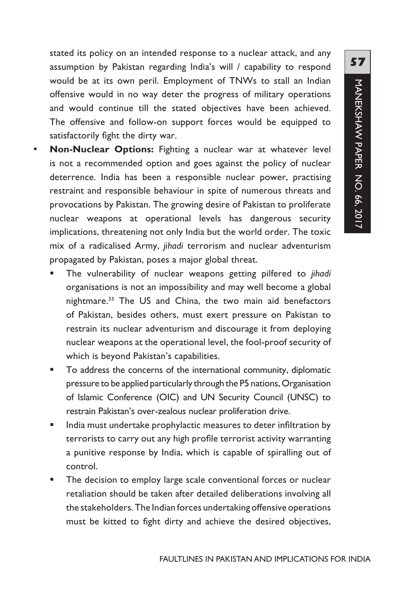stated its policy on an intended response to a nuclear attack, and any assumption by Pakistan regarding India's will / capability to respond would be at its own peril. Employment of TNWs to stall an Indian offensive would in no way deter the progress of military operations and would continue till the stated objectives have been achieved. The offensive and follow-on support forces would be equipped to satisfactorily fight the dirty war.

- Non-Nuclear Options: Fighting a nuclear war at whatever level is not a recommended option and goes against the policy of nuclear deterrence. India has been a responsible nuclear power, practising restraint and responsible behaviour in spite of numerous threats and provocations by Pakistan. The growing desire of Pakistan to proliferate nuclear weapons at operational levels has dangerous security implications, threatening not only India but the world order. The toxic mix of a radicalised Army, *jihadi* terrorism and nuclear adventurism propagated by Pakistan, poses a major global threat.
	- The vulnerability of nuclear weapons getting pilfered to *jihadi* organisations is not an impossibility and may well become a global nightmare.<sup>33</sup> The US and China, the two main aid benefactors of Pakistan, besides others, must exert pressure on Pakistan to restrain its nuclear adventurism and discourage it from deploying nuclear weapons at the operational level, the fool-proof security of which is beyond Pakistan's capabilities.
	- **To address the concerns of the international community, diplomatic** pressure to be applied particularly through the P5 nations, Organisation of Islamic Conference (OIC) and UN Security Council (UNSC) to restrain Pakistan's over-zealous nuclear proliferation drive.
	- **IF India must undertake prophylactic measures to deter infiltration by** terrorists to carry out any high profile terrorist activity warranting a punitive response by India, which is capable of spiralling out of control.
	- The decision to employ large scale conventional forces or nuclear retaliation should be taken after detailed deliberations involving all the stakeholders. The Indian forces undertaking offensive operations must be kitted to fight dirty and achieve the desired objectives,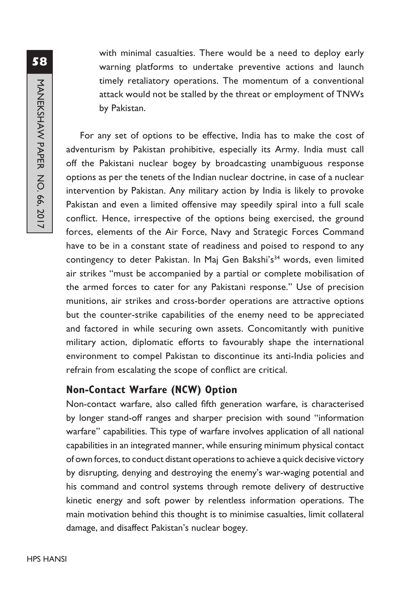with minimal casualties. There would be a need to deploy early warning platforms to undertake preventive actions and launch timely retaliatory operations. The momentum of a conventional attack would not be stalled by the threat or employment of TNWs by Pakistan.

For any set of options to be effective, India has to make the cost of adventurism by Pakistan prohibitive, especially its Army. India must call off the Pakistani nuclear bogey by broadcasting unambiguous response options as per the tenets of the Indian nuclear doctrine, in case of a nuclear intervention by Pakistan. Any military action by India is likely to provoke Pakistan and even a limited offensive may speedily spiral into a full scale conflict. Hence, irrespective of the options being exercised, the ground forces, elements of the Air Force, Navy and Strategic Forces Command have to be in a constant state of readiness and poised to respond to any contingency to deter Pakistan. In Maj Gen Bakshi's<sup>34</sup> words, even limited air strikes "must be accompanied by a partial or complete mobilisation of the armed forces to cater for any Pakistani response." Use of precision munitions, air strikes and cross-border operations are attractive options but the counter-strike capabilities of the enemy need to be appreciated and factored in while securing own assets. Concomitantly with punitive military action, diplomatic efforts to favourably shape the international environment to compel Pakistan to discontinue its anti-India policies and refrain from escalating the scope of conflict are critical.

### **Non-Contact Warfare (NCW) Option**

Non-contact warfare, also called fifth generation warfare, is characterised by longer stand-off ranges and sharper precision with sound "information warfare" capabilities. This type of warfare involves application of all national capabilities in an integrated manner, while ensuring minimum physical contact of own forces, to conduct distant operations to achieve a quick decisive victory by disrupting, denying and destroying the enemy's war-waging potential and his command and control systems through remote delivery of destructive kinetic energy and soft power by relentless information operations. The main motivation behind this thought is to minimise casualties, limit collateral damage, and disaffect Pakistan's nuclear bogey.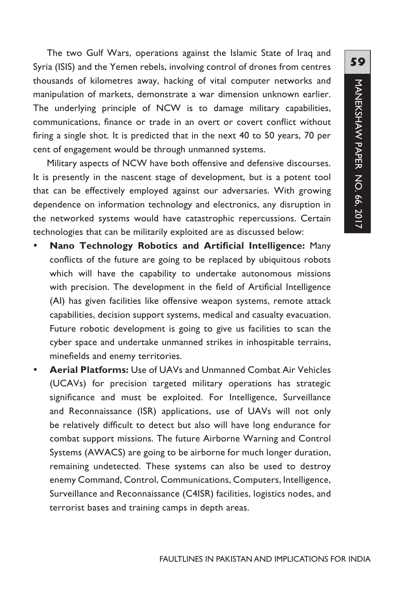The two Gulf Wars, operations against the Islamic State of Iraq and Syria (ISIS) and the Yemen rebels, involving control of drones from centres thousands of kilometres away, hacking of vital computer networks and manipulation of markets, demonstrate a war dimension unknown earlier. The underlying principle of NCW is to damage military capabilities, communications, finance or trade in an overt or covert conflict without firing a single shot. It is predicted that in the next 40 to 50 years, 70 per cent of engagement would be through unmanned systems.

Military aspects of NCW have both offensive and defensive discourses. It is presently in the nascent stage of development, but is a potent tool that can be effectively employed against our adversaries. With growing dependence on information technology and electronics, any disruption in the networked systems would have catastrophic repercussions. Certain technologies that can be militarily exploited are as discussed below:

- Nano Technology Robotics and Artificial Intelligence: Many conflicts of the future are going to be replaced by ubiquitous robots which will have the capability to undertake autonomous missions with precision. The development in the field of Artificial Intelligence (AI) has given facilities like offensive weapon systems, remote attack capabilities, decision support systems, medical and casualty evacuation. Future robotic development is going to give us facilities to scan the cyber space and undertake unmanned strikes in inhospitable terrains, minefields and enemy territories.
- **Aerial Platforms:** Use of UAVs and Unmanned Combat Air Vehicles (UCAVs) for precision targeted military operations has strategic significance and must be exploited. For Intelligence, Surveillance and Reconnaissance (ISR) applications, use of UAVs will not only be relatively difficult to detect but also will have long endurance for combat support missions. The future Airborne Warning and Control Systems (AWACS) are going to be airborne for much longer duration, remaining undetected. These systems can also be used to destroy enemy Command, Control, Communications, Computers, Intelligence, Surveillance and Reconnaissance (C4ISR) facilities, logistics nodes, and terrorist bases and training camps in depth areas.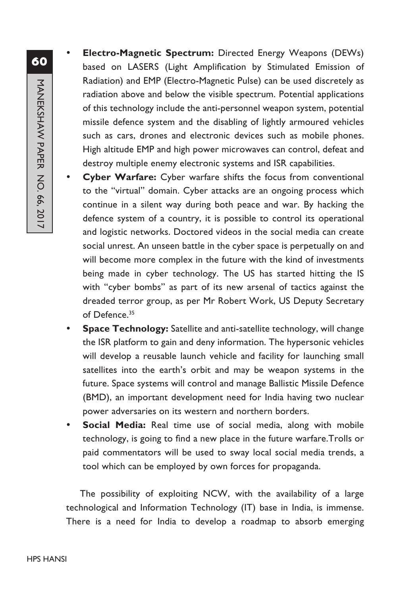- **60**MANEKSHAW PAPER NO. 66, 2017 MANEKSHAW PAPER NO. 66, 2017
- **Electro-Magnetic Spectrum:** Directed Energy Weapons (DEWs) based on LASERS (Light Amplification by Stimulated Emission of Radiation) and EMP (Electro-Magnetic Pulse) can be used discretely as radiation above and below the visible spectrum. Potential applications of this technology include the anti-personnel weapon system, potential missile defence system and the disabling of lightly armoured vehicles such as cars, drones and electronic devices such as mobile phones. High altitude EMP and high power microwaves can control, defeat and destroy multiple enemy electronic systems and ISR capabilities.
- **Cyber Warfare:** Cyber warfare shifts the focus from conventional to the "virtual" domain. Cyber attacks are an ongoing process which continue in a silent way during both peace and war. By hacking the defence system of a country, it is possible to control its operational and logistic networks. Doctored videos in the social media can create social unrest. An unseen battle in the cyber space is perpetually on and will become more complex in the future with the kind of investments being made in cyber technology. The US has started hitting the IS with "cyber bombs" as part of its new arsenal of tactics against the dreaded terror group, as per Mr Robert Work, US Deputy Secretary of Defence.<sup>35</sup>
- **Space Technology:** Satellite and anti-satellite technology, will change the ISR platform to gain and deny information. The hypersonic vehicles will develop a reusable launch vehicle and facility for launching small satellites into the earth's orbit and may be weapon systems in the future. Space systems will control and manage Ballistic Missile Defence (BMD), an important development need for India having two nuclear power adversaries on its western and northern borders.
- **Social Media:** Real time use of social media, along with mobile technology, is going to find a new place in the future warfare.Trolls or paid commentators will be used to sway local social media trends, a tool which can be employed by own forces for propaganda.

The possibility of exploiting NCW, with the availability of a large technological and Information Technology (IT) base in India, is immense. There is a need for India to develop a roadmap to absorb emerging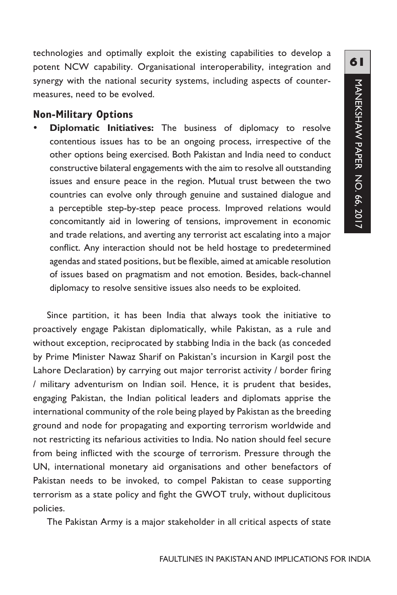technologies and optimally exploit the existing capabilities to develop a potent NCW capability. Organisational interoperability, integration and synergy with the national security systems, including aspects of countermeasures, need to be evolved.

#### **Non-Military Options**

**Diplomatic Initiatives:** The business of diplomacy to resolve contentious issues has to be an ongoing process, irrespective of the other options being exercised. Both Pakistan and India need to conduct constructive bilateral engagements with the aim to resolve all outstanding issues and ensure peace in the region. Mutual trust between the two countries can evolve only through genuine and sustained dialogue and a perceptible step-by-step peace process. Improved relations would concomitantly aid in lowering of tensions, improvement in economic and trade relations, and averting any terrorist act escalating into a major conflict. Any interaction should not be held hostage to predetermined agendas and stated positions, but be flexible, aimed at amicable resolution of issues based on pragmatism and not emotion. Besides, back-channel diplomacy to resolve sensitive issues also needs to be exploited.

Since partition, it has been India that always took the initiative to proactively engage Pakistan diplomatically, while Pakistan, as a rule and without exception, reciprocated by stabbing India in the back (as conceded by Prime Minister Nawaz Sharif on Pakistan's incursion in Kargil post the Lahore Declaration) by carrying out major terrorist activity / border firing / military adventurism on Indian soil. Hence, it is prudent that besides, engaging Pakistan, the Indian political leaders and diplomats apprise the international community of the role being played by Pakistan as the breeding ground and node for propagating and exporting terrorism worldwide and not restricting its nefarious activities to India. No nation should feel secure from being inflicted with the scourge of terrorism. Pressure through the UN, international monetary aid organisations and other benefactors of Pakistan needs to be invoked, to compel Pakistan to cease supporting terrorism as a state policy and fight the GWOT truly, without duplicitous policies.

The Pakistan Army is a major stakeholder in all critical aspects of state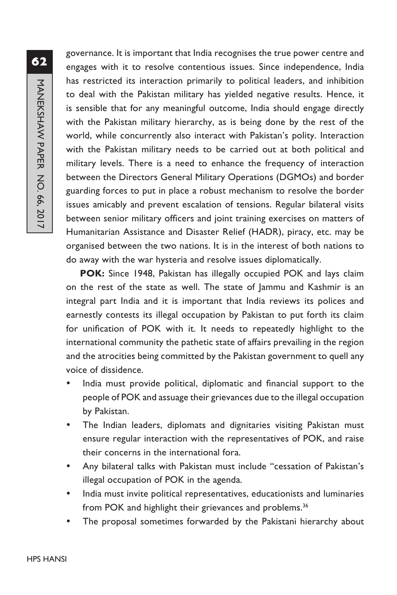governance. It is important that India recognises the true power centre and engages with it to resolve contentious issues. Since independence, India has restricted its interaction primarily to political leaders, and inhibition to deal with the Pakistan military has yielded negative results. Hence, it is sensible that for any meaningful outcome, India should engage directly with the Pakistan military hierarchy, as is being done by the rest of the world, while concurrently also interact with Pakistan's polity. Interaction with the Pakistan military needs to be carried out at both political and military levels. There is a need to enhance the frequency of interaction between the Directors General Military Operations (DGMOs) and border guarding forces to put in place a robust mechanism to resolve the border issues amicably and prevent escalation of tensions. Regular bilateral visits between senior military officers and joint training exercises on matters of Humanitarian Assistance and Disaster Relief (HADR), piracy, etc. may be organised between the two nations. It is in the interest of both nations to do away with the war hysteria and resolve issues diplomatically.

**POK:** Since 1948, Pakistan has illegally occupied POK and lays claim on the rest of the state as well. The state of Jammu and Kashmir is an integral part India and it is important that India reviews its polices and earnestly contests its illegal occupation by Pakistan to put forth its claim for unification of POK with it. It needs to repeatedly highlight to the international community the pathetic state of affairs prevailing in the region and the atrocities being committed by the Pakistan government to quell any voice of dissidence.

- India must provide political, diplomatic and financial support to the people of POK and assuage their grievances due to the illegal occupation by Pakistan.
- The Indian leaders, diplomats and dignitaries visiting Pakistan must ensure regular interaction with the representatives of POK, and raise their concerns in the international fora.
- Any bilateral talks with Pakistan must include "cessation of Pakistan's illegal occupation of POK in the agenda.
- India must invite political representatives, educationists and luminaries from POK and highlight their grievances and problems.<sup>36</sup>
- The proposal sometimes forwarded by the Pakistani hierarchy about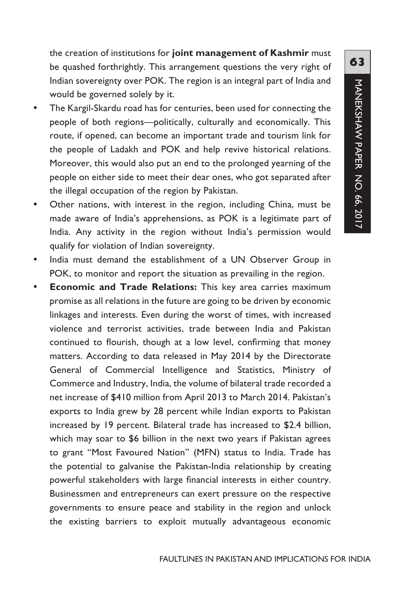the creation of institutions for **joint management of Kashmir** must be quashed forthrightly. This arrangement questions the very right of Indian sovereignty over POK. The region is an integral part of India and would be governed solely by it.

- The Kargil-Skardu road has for centuries, been used for connecting the people of both regions—politically, culturally and economically. This route, if opened, can become an important trade and tourism link for the people of Ladakh and POK and help revive historical relations. Moreover, this would also put an end to the prolonged yearning of the people on either side to meet their dear ones, who got separated after the illegal occupation of the region by Pakistan.
- Other nations, with interest in the region, including China, must be made aware of India's apprehensions, as POK is a legitimate part of India. Any activity in the region without India's permission would qualify for violation of Indian sovereignty.
- India must demand the establishment of a UN Observer Group in POK, to monitor and report the situation as prevailing in the region.
- **Economic and Trade Relations:** This key area carries maximum promise as all relations in the future are going to be driven by economic linkages and interests. Even during the worst of times, with increased violence and terrorist activities, trade between India and Pakistan continued to flourish, though at a low level, confirming that money matters. According to data released in May 2014 by the Directorate General of Commercial Intelligence and Statistics, Ministry of Commerce and Industry, India, the volume of bilateral trade recorded a net increase of \$410 million from April 2013 to March 2014. Pakistan's exports to India grew by 28 percent while Indian exports to Pakistan increased by 19 percent. Bilateral trade has increased to \$2.4 billion, which may soar to \$6 billion in the next two years if Pakistan agrees to grant "Most Favoured Nation" (MFN) status to India. Trade has the potential to galvanise the Pakistan-India relationship by creating powerful stakeholders with large financial interests in either country. Businessmen and entrepreneurs can exert pressure on the respective governments to ensure peace and stability in the region and unlock the existing barriers to exploit mutually advantageous economic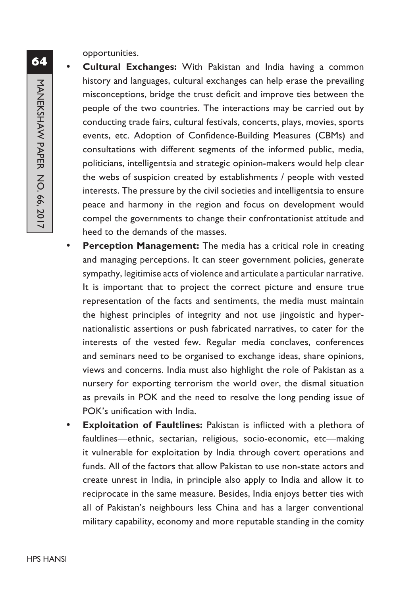opportunities.

- **Cultural Exchanges:** With Pakistan and India having a common history and languages, cultural exchanges can help erase the prevailing misconceptions, bridge the trust deficit and improve ties between the people of the two countries. The interactions may be carried out by conducting trade fairs, cultural festivals, concerts, plays, movies, sports events, etc. Adoption of Confidence-Building Measures (CBMs) and consultations with different segments of the informed public, media, politicians, intelligentsia and strategic opinion-makers would help clear the webs of suspicion created by establishments / people with vested interests. The pressure by the civil societies and intelligentsia to ensure peace and harmony in the region and focus on development would compel the governments to change their confrontationist attitude and heed to the demands of the masses.
- **Perception Management:** The media has a critical role in creating and managing perceptions. It can steer government policies, generate sympathy, legitimise acts of violence and articulate a particular narrative. It is important that to project the correct picture and ensure true representation of the facts and sentiments, the media must maintain the highest principles of integrity and not use jingoistic and hypernationalistic assertions or push fabricated narratives, to cater for the interests of the vested few. Regular media conclaves, conferences and seminars need to be organised to exchange ideas, share opinions, views and concerns. India must also highlight the role of Pakistan as a nursery for exporting terrorism the world over, the dismal situation as prevails in POK and the need to resolve the long pending issue of POK's unification with India.
- **Exploitation of Faultlines:** Pakistan is inflicted with a plethora of faultlines—ethnic, sectarian, religious, socio-economic, etc—making it vulnerable for exploitation by India through covert operations and funds. All of the factors that allow Pakistan to use non-state actors and create unrest in India, in principle also apply to India and allow it to reciprocate in the same measure. Besides, India enjoys better ties with all of Pakistan's neighbours less China and has a larger conventional military capability, economy and more reputable standing in the comity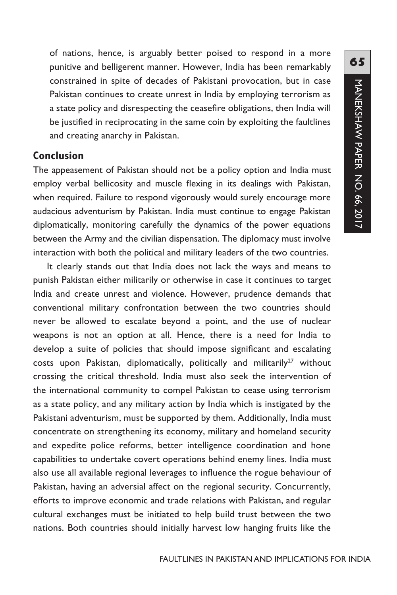of nations, hence, is arguably better poised to respond in a more punitive and belligerent manner. However, India has been remarkably constrained in spite of decades of Pakistani provocation, but in case Pakistan continues to create unrest in India by employing terrorism as a state policy and disrespecting the ceasefire obligations, then India will be justified in reciprocating in the same coin by exploiting the faultlines and creating anarchy in Pakistan.

### **Conclusion**

The appeasement of Pakistan should not be a policy option and India must employ verbal bellicosity and muscle flexing in its dealings with Pakistan, when required. Failure to respond vigorously would surely encourage more audacious adventurism by Pakistan. India must continue to engage Pakistan diplomatically, monitoring carefully the dynamics of the power equations between the Army and the civilian dispensation. The diplomacy must involve interaction with both the political and military leaders of the two countries.

It clearly stands out that India does not lack the ways and means to punish Pakistan either militarily or otherwise in case it continues to target India and create unrest and violence. However, prudence demands that conventional military confrontation between the two countries should never be allowed to escalate beyond a point, and the use of nuclear weapons is not an option at all. Hence, there is a need for India to develop a suite of policies that should impose significant and escalating costs upon Pakistan, diplomatically, politically and militarily<sup>27</sup> without crossing the critical threshold. India must also seek the intervention of the international community to compel Pakistan to cease using terrorism as a state policy, and any military action by India which is instigated by the Pakistani adventurism, must be supported by them. Additionally, India must concentrate on strengthening its economy, military and homeland security and expedite police reforms, better intelligence coordination and hone capabilities to undertake covert operations behind enemy lines. India must also use all available regional leverages to influence the rogue behaviour of Pakistan, having an adversial affect on the regional security. Concurrently, efforts to improve economic and trade relations with Pakistan, and regular cultural exchanges must be initiated to help build trust between the two nations. Both countries should initially harvest low hanging fruits like the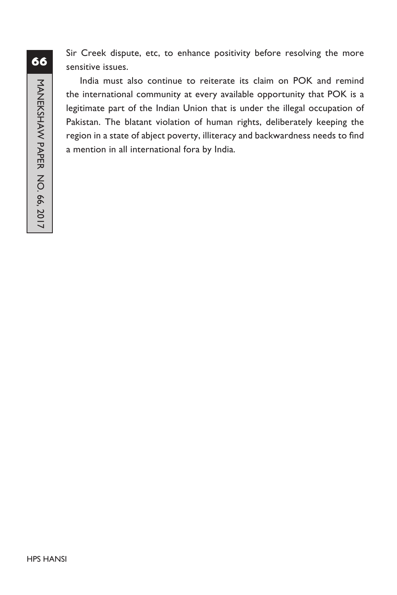Sir Creek dispute, etc, to enhance positivity before resolving the more sensitive issues.

India must also continue to reiterate its claim on POK and remind the international community at every available opportunity that POK is a legitimate part of the Indian Union that is under the illegal occupation of Pakistan. The blatant violation of human rights, deliberately keeping the region in a state of abject poverty, illiteracy and backwardness needs to find a mention in all international fora by India.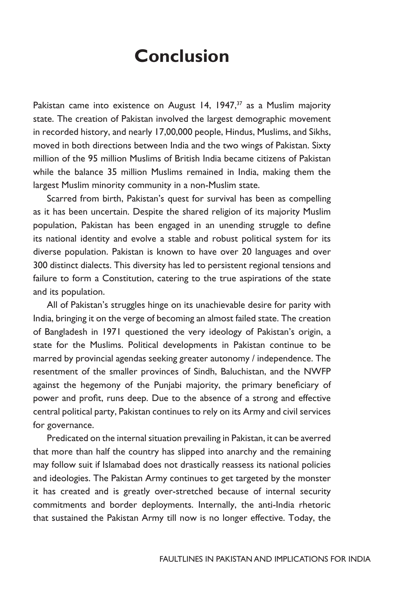## **Conclusion**

Pakistan came into existence on August 14, 1947, $37$  as a Muslim majority state. The creation of Pakistan involved the largest demographic movement in recorded history, and nearly 17,00,000 people, Hindus, Muslims, and Sikhs, moved in both directions between India and the two wings of Pakistan. Sixty million of the 95 million Muslims of British India became citizens of Pakistan while the balance 35 million Muslims remained in India, making them the largest Muslim minority community in a non-Muslim state.

Scarred from birth, Pakistan's quest for survival has been as compelling as it has been uncertain. Despite the shared religion of its majority Muslim population, Pakistan has been engaged in an unending struggle to define its national identity and evolve a stable and robust political system for its diverse population. Pakistan is known to have over 20 languages and over 300 distinct dialects. This diversity has led to persistent regional tensions and failure to form a Constitution, catering to the true aspirations of the state and its population.

All of Pakistan's struggles hinge on its unachievable desire for parity with India, bringing it on the verge of becoming an almost failed state. The creation of Bangladesh in 1971 questioned the very ideology of Pakistan's origin, a state for the Muslims. Political developments in Pakistan continue to be marred by provincial agendas seeking greater autonomy / independence. The resentment of the smaller provinces of Sindh, Baluchistan, and the NWFP against the hegemony of the Punjabi majority, the primary beneficiary of power and profit, runs deep. Due to the absence of a strong and effective central political party, Pakistan continues to rely on its Army and civil services for governance.

Predicated on the internal situation prevailing in Pakistan, it can be averred that more than half the country has slipped into anarchy and the remaining may follow suit if Islamabad does not drastically reassess its national policies and ideologies. The Pakistan Army continues to get targeted by the monster it has created and is greatly over-stretched because of internal security commitments and border deployments. Internally, the anti-India rhetoric that sustained the Pakistan Army till now is no longer effective. Today, the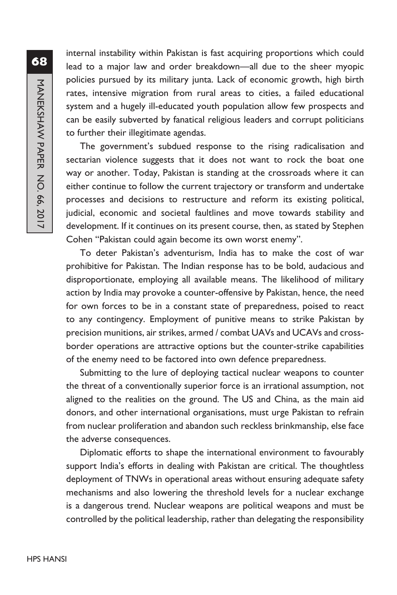internal instability within Pakistan is fast acquiring proportions which could lead to a major law and order breakdown—all due to the sheer myopic policies pursued by its military junta. Lack of economic growth, high birth rates, intensive migration from rural areas to cities, a failed educational system and a hugely ill-educated youth population allow few prospects and can be easily subverted by fanatical religious leaders and corrupt politicians to further their illegitimate agendas.

The government's subdued response to the rising radicalisation and sectarian violence suggests that it does not want to rock the boat one way or another. Today, Pakistan is standing at the crossroads where it can either continue to follow the current trajectory or transform and undertake processes and decisions to restructure and reform its existing political, judicial, economic and societal faultlines and move towards stability and development. If it continues on its present course, then, as stated by Stephen Cohen "Pakistan could again become its own worst enemy".

To deter Pakistan's adventurism, India has to make the cost of war prohibitive for Pakistan. The Indian response has to be bold, audacious and disproportionate, employing all available means. The likelihood of military action by India may provoke a counter-offensive by Pakistan, hence, the need for own forces to be in a constant state of preparedness, poised to react to any contingency. Employment of punitive means to strike Pakistan by precision munitions, air strikes, armed / combat UAVs and UCAVs and crossborder operations are attractive options but the counter-strike capabilities of the enemy need to be factored into own defence preparedness.

Submitting to the lure of deploying tactical nuclear weapons to counter the threat of a conventionally superior force is an irrational assumption, not aligned to the realities on the ground. The US and China, as the main aid donors, and other international organisations, must urge Pakistan to refrain from nuclear proliferation and abandon such reckless brinkmanship, else face the adverse consequences.

Diplomatic efforts to shape the international environment to favourably support India's efforts in dealing with Pakistan are critical. The thoughtless deployment of TNWs in operational areas without ensuring adequate safety mechanisms and also lowering the threshold levels for a nuclear exchange is a dangerous trend. Nuclear weapons are political weapons and must be controlled by the political leadership, rather than delegating the responsibility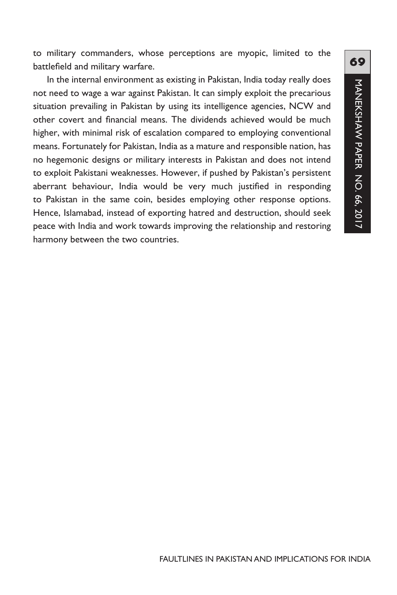to military commanders, whose perceptions are myopic, limited to the battlefield and military warfare.

In the internal environment as existing in Pakistan, India today really does not need to wage a war against Pakistan. It can simply exploit the precarious situation prevailing in Pakistan by using its intelligence agencies, NCW and other covert and financial means. The dividends achieved would be much higher, with minimal risk of escalation compared to employing conventional means. Fortunately for Pakistan, India as a mature and responsible nation, has no hegemonic designs or military interests in Pakistan and does not intend to exploit Pakistani weaknesses. However, if pushed by Pakistan's persistent aberrant behaviour, India would be very much justified in responding to Pakistan in the same coin, besides employing other response options. Hence, Islamabad, instead of exporting hatred and destruction, should seek peace with India and work towards improving the relationship and restoring harmony between the two countries.